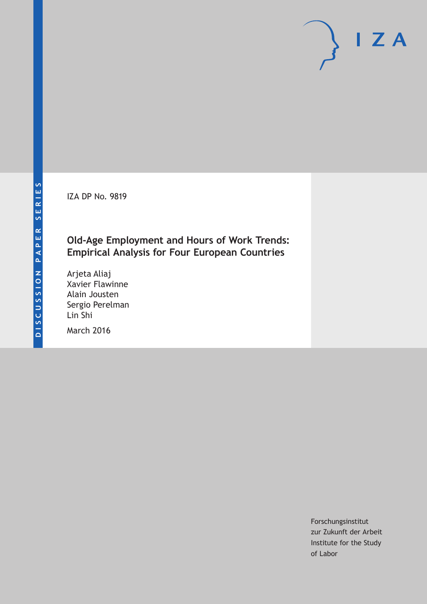IZA DP No. 9819

# **Old‐Age Employment and Hours of Work Trends: Empirical Analysis for Four European Countries**

Arjeta Aliaj Xavier Flawinne Alain Jousten Sergio Perelman Lin Shi

March 2016

Forschungsinstitut zur Zukunft der Arbeit Institute for the Study of Labor

 $I Z A$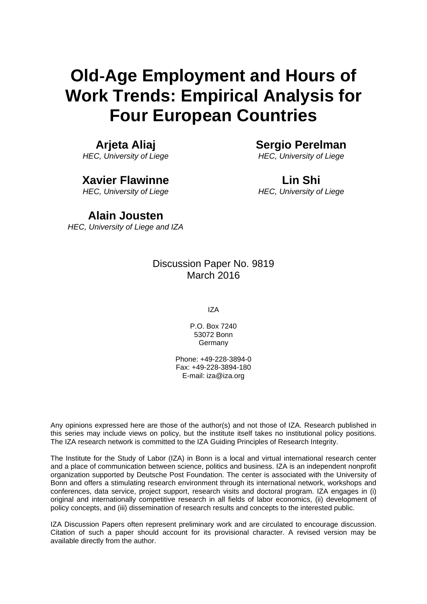# **Old**‐**Age Employment and Hours of Work Trends: Empirical Analysis for Four European Countries**

# **Arjeta Aliaj**

*HEC, University of Liege* 

# **Xavier Flawinne**

*HEC, University of Liege* 

# **Sergio Perelman**  *HEC, University of Liege*

**Lin Shi**  *HEC, University of Liege*

# **Alain Jousten**

*HEC, University of Liege and IZA*

# Discussion Paper No. 9819 March 2016

IZA

P.O. Box 7240 53072 Bonn **Germany** 

Phone: +49-228-3894-0 Fax: +49-228-3894-180 E-mail: iza@iza.org

Any opinions expressed here are those of the author(s) and not those of IZA. Research published in this series may include views on policy, but the institute itself takes no institutional policy positions. The IZA research network is committed to the IZA Guiding Principles of Research Integrity.

The Institute for the Study of Labor (IZA) in Bonn is a local and virtual international research center and a place of communication between science, politics and business. IZA is an independent nonprofit organization supported by Deutsche Post Foundation. The center is associated with the University of Bonn and offers a stimulating research environment through its international network, workshops and conferences, data service, project support, research visits and doctoral program. IZA engages in (i) original and internationally competitive research in all fields of labor economics, (ii) development of policy concepts, and (iii) dissemination of research results and concepts to the interested public.

IZA Discussion Papers often represent preliminary work and are circulated to encourage discussion. Citation of such a paper should account for its provisional character. A revised version may be available directly from the author.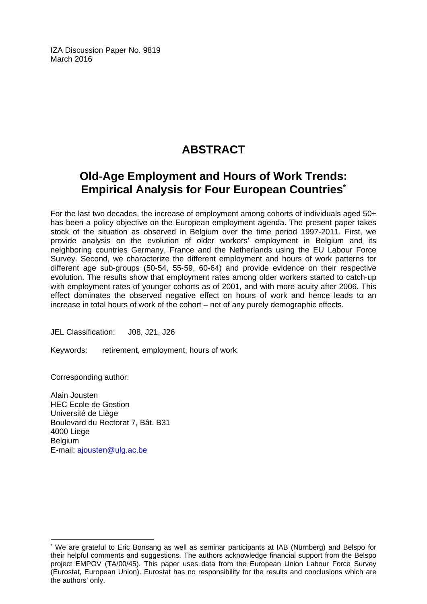IZA Discussion Paper No. 9819 March 2016

# **ABSTRACT**

# **Old**‐**Age Employment and Hours of Work Trends: Empirical Analysis for Four European Countries\***

For the last two decades, the increase of employment among cohorts of individuals aged 50+ has been a policy objective on the European employment agenda. The present paper takes stock of the situation as observed in Belgium over the time period 1997-2011. First, we provide analysis on the evolution of older workers' employment in Belgium and its neighboring countries Germany, France and the Netherlands using the EU Labour Force Survey. Second, we characterize the different employment and hours of work patterns for different age sub‐groups (50‐54, 55‐59, 60‐64) and provide evidence on their respective evolution. The results show that employment rates among older workers started to catch‐up with employment rates of younger cohorts as of 2001, and with more acuity after 2006. This effect dominates the observed negative effect on hours of work and hence leads to an increase in total hours of work of the cohort – net of any purely demographic effects.

JEL Classification: J08, J21, J26

Keywords: retirement, employment, hours of work

Corresponding author:

 $\overline{a}$ 

Alain Jousten HEC Ecole de Gestion Université de Liège Boulevard du Rectorat 7, Bât. B31 4000 Liege Belgium E-mail: ajousten@ulg.ac.be

<sup>\*</sup> We are grateful to Eric Bonsang as well as seminar participants at IAB (Nürnberg) and Belspo for their helpful comments and suggestions. The authors acknowledge financial support from the Belspo project EMPOV (TA/00/45). This paper uses data from the European Union Labour Force Survey (Eurostat, European Union). Eurostat has no responsibility for the results and conclusions which are the authors' only.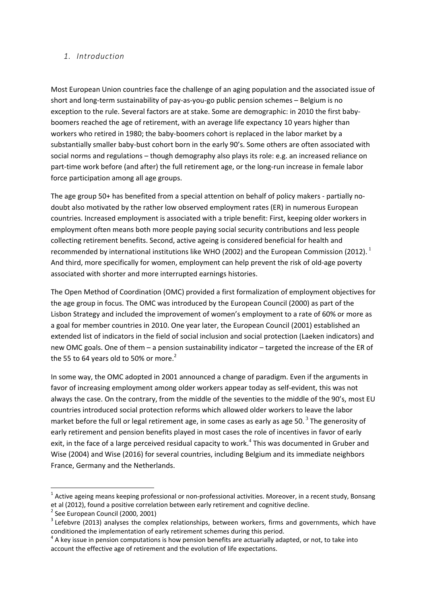### *1. Introduction*

Most European Union countries face the challenge of an aging population and the associated issue of short and long-term sustainability of pay-as-you-go public pension schemes - Belgium is no exception to the rule. Several factors are at stake. Some are demographic: in 2010 the first baby‐ boomers reached the age of retirement, with an average life expectancy 10 years higher than workers who retired in 1980; the baby‐boomers cohort is replaced in the labor market by a substantially smaller baby-bust cohort born in the early 90's. Some others are often associated with social norms and regulations – though demography also plays its role: e.g. an increased reliance on part-time work before (and after) the full retirement age, or the long-run increase in female labor force participation among all age groups.

The age group 50+ has benefited from a special attention on behalf of policy makers - partially nodoubt also motivated by the rather low observed employment rates (ER) in numerous European countries. Increased employment is associated with a triple benefit: First, keeping older workers in employment often means both more people paying social security contributions and less people collecting retirement benefits. Second, active ageing is considered beneficial for health and recommended by international institutions like WHO (2002) and the European Commission (2012).<sup>1</sup> And third, more specifically for women, employment can help prevent the risk of old‐age poverty associated with shorter and more interrupted earnings histories.

The Open Method of Coordination (OMC) provided a first formalization of employment objectives for the age group in focus. The OMC was introduced by the European Council (2000) as part of the Lisbon Strategy and included the improvement of women's employment to a rate of 60% or more as a goal for member countries in 2010. One year later, the European Council (2001) established an extended list of indicators in the field of social inclusion and social protection (Laeken indicators) and new OMC goals. One of them – a pension sustainability indicator – targeted the increase of the ER of the 55 to 64 years old to 50% or more.<sup>2</sup>

In some way, the OMC adopted in 2001 announced a change of paradigm. Even if the arguments in favor of increasing employment among older workers appear today as self‐evident, this was not always the case. On the contrary, from the middle of the seventies to the middle of the 90's, most EU countries introduced social protection reforms which allowed older workers to leave the labor market before the full or legal retirement age, in some cases as early as age 50. $^3$  The generosity of early retirement and pension benefits played in most cases the role of incentives in favor of early exit, in the face of a large perceived residual capacity to work.<sup>4</sup> This was documented in Gruber and Wise (2004) and Wise (2016) for several countries, including Belgium and its immediate neighbors France, Germany and the Netherlands.

 $1$  Active ageing means keeping professional or non-professional activities. Moreover, in a recent study, Bonsang et al (2012), found a positive correlation between early retirement and cognitive decline.<br>
<sup>2</sup> See European Council (2000, 2001)<br>
<sup>3</sup> Lefebvre (2013) analyses the complex relationships, between workers, firms and governm

conditioned the implementation of early retirement schemes during this period.<br><sup>4</sup> A key issue in pension computations is how pension benefits are actuarially adapted, or not, to take into

account the effective age of retirement and the evolution of life expectations.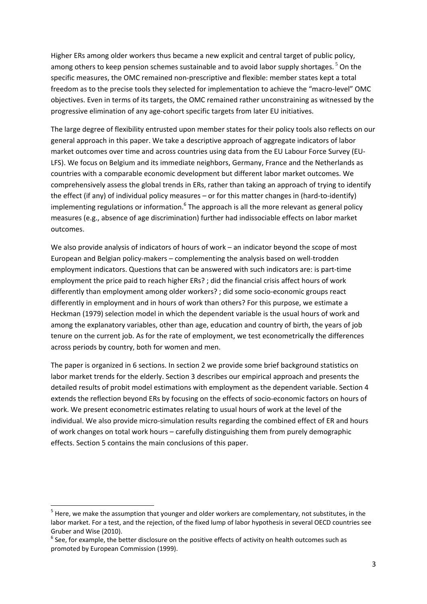Higher ERs among older workers thus became a new explicit and central target of public policy, among others to keep pension schemes sustainable and to avoid labor supply shortages.<sup>5</sup> On the specific measures, the OMC remained non-prescriptive and flexible: member states kept a total freedom as to the precise tools they selected for implementation to achieve the "macro-level" OMC objectives. Even in terms of its targets, the OMC remained rather unconstraining as witnessed by the progressive elimination of any age‐cohort specific targets from later EU initiatives.

The large degree of flexibility entrusted upon member states for their policy tools also reflects on our general approach in this paper. We take a descriptive approach of aggregate indicators of labor market outcomes over time and across countries using data from the EU Labour Force Survey (EU‐ LFS). We focus on Belgium and its immediate neighbors, Germany, France and the Netherlands as countries with a comparable economic development but different labor market outcomes. We comprehensively assess the global trends in ERs, rather than taking an approach of trying to identify the effect (if any) of individual policy measures – or for this matter changes in (hard-to-identify) implementing regulations or information. $6$  The approach is all the more relevant as general policy measures (e.g., absence of age discrimination) further had indissociable effects on labor market outcomes.

We also provide analysis of indicators of hours of work – an indicator beyond the scope of most European and Belgian policy‐makers – complementing the analysis based on well‐trodden employment indicators. Questions that can be answered with such indicators are: is part‐time employment the price paid to reach higher ERs? ; did the financial crisis affect hours of work differently than employment among older workers? ; did some socio‐economic groups react differently in employment and in hours of work than others? For this purpose, we estimate a Heckman (1979) selection model in which the dependent variable is the usual hours of work and among the explanatory variables, other than age, education and country of birth, the years of job tenure on the current job. As for the rate of employment, we test econometrically the differences across periods by country, both for women and men.

The paper is organized in 6 sections. In section 2 we provide some brief background statistics on labor market trends for the elderly. Section 3 describes our empirical approach and presents the detailed results of probit model estimations with employment as the dependent variable. Section 4 extends the reflection beyond ERs by focusing on the effects of socio‐economic factors on hours of work. We present econometric estimates relating to usual hours of work at the level of the individual. We also provide micro‐simulation results regarding the combined effect of ER and hours of work changes on total work hours – carefully distinguishing them from purely demographic effects. Section 5 contains the main conclusions of this paper.

<sup>&</sup>lt;sup>5</sup> Here, we make the assumption that younger and older workers are complementary, not substitutes, in the labor market. For a test, and the rejection, of the fixed lump of labor hypothesis in several OECD countries see Gruber and Wise (2010).<br><sup>6</sup> See, for example, the better disclosure on the positive effects of activity on health outcomes such as

promoted by European Commission (1999).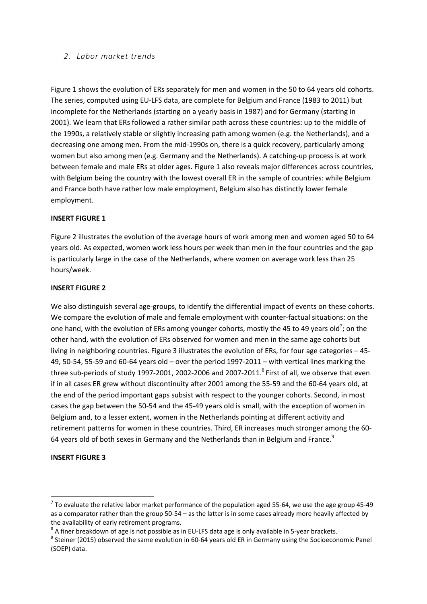### *2. Labor market trends*

Figure 1 shows the evolution of ERs separately for men and women in the 50 to 64 years old cohorts. The series, computed using EU‐LFS data, are complete for Belgium and France (1983 to 2011) but incomplete for the Netherlands (starting on a yearly basis in 1987) and for Germany (starting in 2001). We learn that ERs followed a rather similar path across these countries: up to the middle of the 1990s, a relatively stable or slightly increasing path among women (e.g. the Netherlands), and a decreasing one among men. From the mid‐1990s on, there is a quick recovery, particularly among women but also among men (e.g. Germany and the Netherlands). A catching-up process is at work between female and male ERs at older ages. Figure 1 also reveals major differences across countries, with Belgium being the country with the lowest overall ER in the sample of countries: while Belgium and France both have rather low male employment, Belgium also has distinctly lower female employment.

### **INSERT FIGURE 1**

Figure 2 illustrates the evolution of the average hours of work among men and women aged 50 to 64 years old. As expected, women work less hours per week than men in the four countries and the gap is particularly large in the case of the Netherlands, where women on average work less than 25 hours/week.

### **INSERT FIGURE 2**

We also distinguish several age-groups, to identify the differential impact of events on these cohorts. We compare the evolution of male and female employment with counter-factual situations: on the one hand, with the evolution of ERs among younger cohorts, mostly the 45 to 49 years old<sup>7</sup>; on the other hand, with the evolution of ERs observed for women and men in the same age cohorts but living in neighboring countries. Figure 3 illustrates the evolution of ERs, for four age categories – 45‐ 49, 50‐54, 55‐59 and 60‐64 years old – over the period 1997‐2011 – with vertical lines marking the three sub-periods of study 1997-2001, 2002-2006 and 2007-2011. $8$  First of all, we observe that even if in all cases ER grew without discontinuity after 2001 among the 55‐59 and the 60‐64 years old, at the end of the period important gaps subsist with respect to the younger cohorts. Second, in most cases the gap between the 50‐54 and the 45‐49 years old is small, with the exception of women in Belgium and, to a lesser extent, women in the Netherlands pointing at different activity and retirement patterns for women in these countries. Third, ER increases much stronger among the 60‐ 64 years old of both sexes in Germany and the Netherlands than in Belgium and France. $9$ 

### **INSERT FIGURE 3**

 $7$  To evaluate the relative labor market performance of the population aged 55-64, we use the age group 45-49 as a comparator rather than the group 50‐54 – as the latter is in some cases already more heavily affected by the availability of early retirement programs.<br><sup>8</sup> A finer breakdown of age is not possible as in EU-LFS data age is only available in 5-year brackets.<br><sup>9</sup> Steiner (2015) observed the same evolution in 60-64 years old ER i

<sup>(</sup>SOEP) data.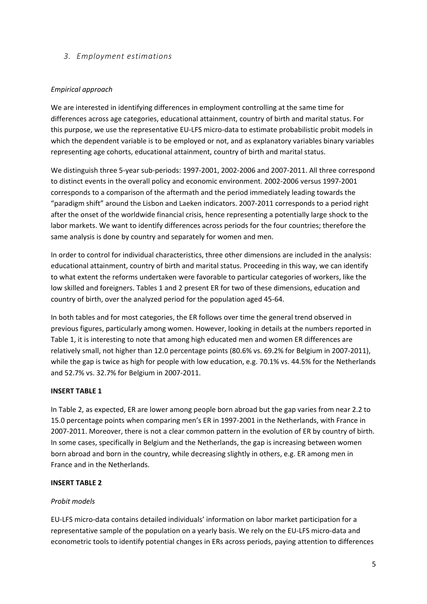# *3. Employment estimations*

# *Empirical approach*

We are interested in identifying differences in employment controlling at the same time for differences across age categories, educational attainment, country of birth and marital status. For this purpose, we use the representative EU‐LFS micro‐data to estimate probabilistic probit models in which the dependent variable is to be employed or not, and as explanatory variables binary variables representing age cohorts, educational attainment, country of birth and marital status.

We distinguish three 5‐year sub‐periods: 1997‐2001, 2002‐2006 and 2007‐2011. All three correspond to distinct events in the overall policy and economic environment. 2002‐2006 versus 1997‐2001 corresponds to a comparison of the aftermath and the period immediately leading towards the "paradigm shift" around the Lisbon and Laeken indicators. 2007‐2011 corresponds to a period right after the onset of the worldwide financial crisis, hence representing a potentially large shock to the labor markets. We want to identify differences across periods for the four countries; therefore the same analysis is done by country and separately for women and men.

In order to control for individual characteristics, three other dimensions are included in the analysis: educational attainment, country of birth and marital status. Proceeding in this way, we can identify to what extent the reforms undertaken were favorable to particular categories of workers, like the low skilled and foreigners. Tables 1 and 2 present ER for two of these dimensions, education and country of birth, over the analyzed period for the population aged 45‐64.

In both tables and for most categories, the ER follows over time the general trend observed in previous figures, particularly among women. However, looking in details at the numbers reported in Table 1, it is interesting to note that among high educated men and women ER differences are relatively small, not higher than 12.0 percentage points (80.6% vs. 69.2% for Belgium in 2007‐2011), while the gap is twice as high for people with low education, e.g. 70.1% vs. 44.5% for the Netherlands and 52.7% vs. 32.7% for Belgium in 2007‐2011.

# **INSERT TABLE 1**

In Table 2, as expected, ER are lower among people born abroad but the gap varies from near 2.2 to 15.0 percentage points when comparing men's ER in 1997‐2001 in the Netherlands, with France in 2007‐2011. Moreover, there is not a clear common pattern in the evolution of ER by country of birth. In some cases, specifically in Belgium and the Netherlands, the gap is increasing between women born abroad and born in the country, while decreasing slightly in others, e.g. ER among men in France and in the Netherlands.

### **INSERT TABLE 2**

# *Probit models*

EU‐LFS micro‐data contains detailed individuals' information on labor market participation for a representative sample of the population on a yearly basis. We rely on the EU‐LFS micro‐data and econometric tools to identify potential changes in ERs across periods, paying attention to differences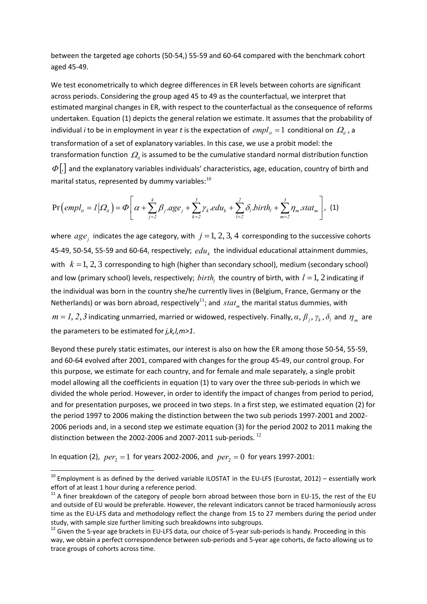between the targeted age cohorts (50‐54,) 55‐59 and 60‐64 compared with the benchmark cohort aged 45‐49.

We test econometrically to which degree differences in ER levels between cohorts are significant across periods. Considering the group aged 45 to 49 as the counterfactual, we interpret that estimated marginal changes in ER, with respect to the counterfactual as the consequence of reforms undertaken. Equation (1) depicts the general relation we estimate. It assumes that the probability of individual *i* to be in employment in year *t* is the expectation of  $empl<sub>it</sub> = 1$  conditional on  $\Omega<sub>it</sub>$ , a transformation of a set of explanatory variables. In this case, we use a probit model: the transformation function  $\Omega_{\mu}$  is assumed to be the cumulative standard normal distribution function  $\Phi$ . and the explanatory variables individuals' characteristics, age, education, country of birth and marital status, represented by dummy variables: $^{10}$ 

$$
\Pr\left(\text{empl}_{it}=I\middle|\Omega_{it}\right)=\Phi\left[\alpha+\sum_{j=2}^{4}\beta_{j} \text{.age}_{j}+\sum_{k=2}^{3}\gamma_{k} \text{.edu}_{k}+\sum_{l=2}^{2}\delta_{l} \text{.birth}_{l}+\sum_{m=2}^{3}\eta_{m} \text{.stat}_{m}\right],\tag{1}
$$

where  $age_i$  indicates the age category, with  $j = 1, 2, 3, 4$  corresponding to the successive cohorts 45-49, 50-54, 55-59 and 60-64, respectively;  $edu_k$  the individual educational attainment dummies, with  $k = 1, 2, 3$  corresponding to high (higher than secondary school), medium (secondary school) and low (primary school) levels, respectively;  $birth$ , the country of birth, with  $l = 1, 2$  indicating if the individual was born in the country she/he currently lives in (Belgium, France, Germany or the Netherlands) or was born abroad, respectively<sup>11</sup>; and  $stat_m$  the marital status dummies, with  $m = 1, 2, 3$  indicating unmarried, married or widowed, respectively. Finally,  $\alpha, \beta_i, \gamma_k, \delta_i$  and  $\eta_m$  are the parameters to be estimated for *j,k,l,m>1*.

Beyond these purely static estimates, our interest is also on how the ER among those 50‐54, 55‐59, and 60‐64 evolved after 2001, compared with changes for the group 45‐49, our control group. For this purpose, we estimate for each country, and for female and male separately, a single probit model allowing all the coefficients in equation (1) to vary over the three sub-periods in which we divided the whole period. However, in order to identify the impact of changes from period to period, and for presentation purposes, we proceed in two steps. In a first step, we estimated equation (2) for the period 1997 to 2006 making the distinction between the two sub periods 1997‐2001 and 2002‐ 2006 periods and, in a second step we estimate equation (3) for the period 2002 to 2011 making the distinction between the 2002-2006 and 2007-2011 sub-periods.<sup>12</sup>

In equation (2),  $per_2 = 1$  for years 2002-2006, and  $per_2 = 0$  for years 1997-2001:

 $^{10}$  Employment is as defined by the derived variable ILOSTAT in the EU-LFS (Eurostat, 2012) – essentially work effort of at least 1 hour during a reference period.<br><sup>11</sup> A finer breakdown of the category of people born abroad between those born in EU-15, the rest of the EU

and outside of EU would be preferable. However, the relevant indicators cannot be traced harmoniously across time as the EU-LFS data and methodology reflect the change from 15 to 27 members during the period under study, with sample size further limiting such breakdowns into subgroups.<br><sup>12</sup> Given the 5‐year age brackets in EU‐LFS data, our choice of 5‐year sub‐periods is handy. Proceeding in this

way, we obtain a perfect correspondence between sub-periods and 5-year age cohorts, de facto allowing us to trace groups of cohorts across time.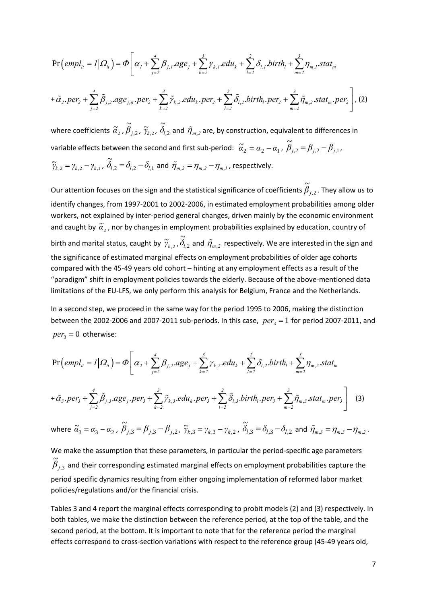$$
\Pr\left(\text{empl}_{it} = I | \Omega_{it}\right) = \Phi\left[\alpha_{1} + \sum_{j=2}^{4} \beta_{j,1} \text{.age}_{j} + \sum_{k=2}^{3} \gamma_{k,1} \text{.edu}_{k} + \sum_{l=2}^{2} \delta_{l,1} \text{.birth}_{l} + \sum_{m=2}^{3} \eta_{m,1} \text{.stat}_{m}\right]
$$

$$
+ \tilde{\alpha}_{2} \text{.per}_{2} + \sum_{j=2}^{4} \tilde{\beta}_{j,2} \text{.age}_{j,it} \text{.per}_{2} + \sum_{k=2}^{3} \tilde{\gamma}_{k,2} \text{.edu}_{k} \text{.per}_{2} + \sum_{l=2}^{2} \tilde{\delta}_{l,2} \text{.birth}_{l} \text{.per}_{2} + \sum_{m=2}^{3} \tilde{\eta}_{m,2} \text{.stat}_{m} \text{.per}_{2}\right], (2)
$$

where coefficients  $\widetilde{\alpha}_2$  ,  $\widetilde{\beta}_{j,2}$  $\widetilde{\beta}_{j,2}$  ,  $\widetilde{\gamma}_{k,2}$  ,  $\widetilde{\delta}_{l,2}$  $\tilde{\tilde{c}}$  $\delta_{\!l,2}$  and  $\tilde{\eta}_{\scriptscriptstyle m,2}$  are, by construction, equivalent to differences in variable effects between the second and first sub-period:  $\tilde{a}_2 = a_2 - a_1$  ,  $\tilde{\beta}_{j,2} = \beta_{j,2} - \beta_{j,1}$  $\hat{\beta}_{j,2} = \beta_{j,2} - \beta_{j,1}$  $\tilde{\tilde{c}}$ 

$$
\widetilde{\gamma}_{k,2} = \gamma_{k,2} - \gamma_{k,1}, \ \widetilde{\delta}_{l,2} = \delta_{l,2} - \delta_{l,1} \text{ and } \widetilde{\eta}_{m,2} = \eta_{m,2} - \eta_{m,1}, \text{ respectively.}
$$

Our attention focuses on the sign and the statistical significance of coefficients  $\beta_{j,2}$  $\tilde{a}$  $\beta_{_{j,2}}$  . They allow us to identify changes, from 1997‐2001 to 2002‐2006, in estimated employment probabilities among older workers, not explained by inter-period general changes, driven mainly by the economic environment and caught by  $\widetilde{\alpha}_2$  , nor by changes in employment probabilities explained by education, country of birth and marital status, caught by  $\widetilde{\gamma}_{k,2}$  ,  $\widetilde{\delta}_{l,2}$  $\tilde{\tilde{c}}$  $\delta_{l,2}$  and  $\tilde{\eta}_{\scriptscriptstyle m,2}^{}$  respectively. We are interested in the sign and the significance of estimated marginal effects on employment probabilities of older age cohorts compared with the 45‐49 years old cohort – hinting at any employment effects as a result of the "paradigm" shift in employment policies towards the elderly. Because of the above‐mentioned data limitations of the EU‐LFS, we only perform this analysis for Belgium, France and the Netherlands.

In a second step, we proceed in the same way for the period 1995 to 2006, making the distinction between the 2002-2006 and 2007-2011 sub-periods. In this case,  $per_3 = 1$  for period 2007-2011, and  $per_3 = 0$  otherwise:

$$
\Pr\left(\text{empl}_{it} = I | \Omega_{it}\right) = \Phi\left[\alpha_{2} + \sum_{j=2}^{4} \beta_{j,2} \text{.age}_{j} + \sum_{k=2}^{3} \gamma_{k,2} \text{.edu}_{k} + \sum_{l=2}^{2} \delta_{l,2} \text{.birth}_{l} + \sum_{m=2}^{3} \eta_{m,2} \text{.stat}_{m}\right]
$$
\n
$$
+ \tilde{\alpha}_{3} \text{.per}_{3} + \sum_{j=2}^{4} \tilde{\beta}_{j,3} \text{.age}_{j} \text{.per}_{3} + \sum_{k=2}^{3} \tilde{\gamma}_{k,3} \text{.edu}_{k} \text{.per}_{3} + \sum_{l=2}^{2} \tilde{\delta}_{l,3} \text{.birth}_{l} \text{.per}_{3} + \sum_{m=2}^{3} \tilde{\eta}_{m,3} \text{.stat}_{m} \text{.per}_{3}\right] \quad (3)
$$
\nwhere  $\tilde{\alpha}_{3} = \alpha_{3} - \alpha_{2}$ ,  $\tilde{\beta}_{j,3} = \beta_{j,3} - \beta_{j,2}$ ,  $\tilde{\gamma}_{k,3} = \gamma_{k,3} - \gamma_{k,2}$ ,  $\tilde{\delta}_{l,3} = \delta_{l,3} - \delta_{l,2}$  and  $\tilde{\eta}_{m,3} = \eta_{m,3} - \eta_{m,2}$ .

We make the assumption that these parameters, in particular the period-specific age parameters ,3 ~<br>~  $\beta_{_{j,3}}$  and their corresponding estimated marginal effects on employment probabilities capture the period specific dynamics resulting from either ongoing implementation of reformed labor market policies/regulations and/or the financial crisis.

Tables 3 and 4 report the marginal effects corresponding to probit models (2) and (3) respectively. In both tables, we make the distinction between the reference period, at the top of the table, and the second period, at the bottom. It is important to note that for the reference period the marginal effects correspond to cross‐section variations with respect to the reference group (45‐49 years old,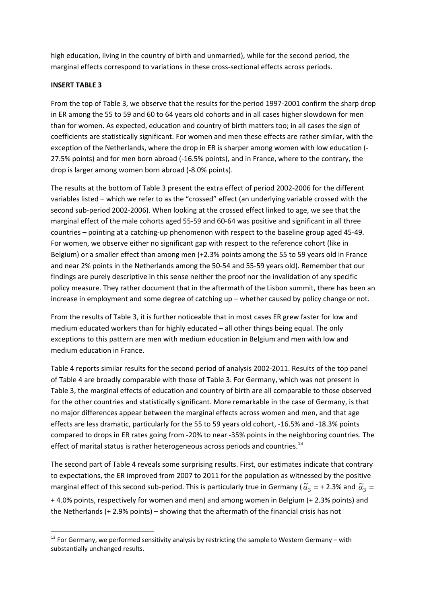high education, living in the country of birth and unmarried), while for the second period, the marginal effects correspond to variations in these cross‐sectional effects across periods.

### **INSERT TABLE 3**

From the top of Table 3, we observe that the results for the period 1997-2001 confirm the sharp drop in ER among the 55 to 59 and 60 to 64 years old cohorts and in all cases higher slowdown for men than for women. As expected, education and country of birth matters too; in all cases the sign of coefficients are statistically significant. For women and men these effects are rather similar, with the exception of the Netherlands, where the drop in ER is sharper among women with low education (‐ 27.5% points) and for men born abroad (‐16.5% points), and in France, where to the contrary, the drop is larger among women born abroad (‐8.0% points).

The results at the bottom of Table 3 present the extra effect of period 2002‐2006 for the different variables listed – which we refer to as the "crossed" effect (an underlying variable crossed with the second sub-period 2002-2006). When looking at the crossed effect linked to age, we see that the marginal effect of the male cohorts aged 55‐59 and 60‐64 was positive and significant in all three countries – pointing at a catching‐up phenomenon with respect to the baseline group aged 45‐49. For women, we observe either no significant gap with respect to the reference cohort (like in Belgium) or a smaller effect than among men (+2.3% points among the 55 to 59 years old in France and near 2% points in the Netherlands among the 50‐54 and 55‐59 years old). Remember that our findings are purely descriptive in this sense neither the proof nor the invalidation of any specific policy measure. They rather document that in the aftermath of the Lisbon summit, there has been an increase in employment and some degree of catching up – whether caused by policy change or not.

From the results of Table 3, it is further noticeable that in most cases ER grew faster for low and medium educated workers than for highly educated – all other things being equal. The only exceptions to this pattern are men with medium education in Belgium and men with low and medium education in France.

Table 4 reports similar results for the second period of analysis 2002‐2011. Results of the top panel of Table 4 are broadly comparable with those of Table 3. For Germany, which was not present in Table 3, the marginal effects of education and country of birth are all comparable to those observed for the other countries and statistically significant. More remarkable in the case of Germany, is that no major differences appear between the marginal effects across women and men, and that age effects are less dramatic, particularly for the 55 to 59 years old cohort, ‐16.5% and ‐18.3% points compared to drops in ER rates going from ‐20% to near ‐35% points in the neighboring countries. The effect of marital status is rather heterogeneous across periods and countries.<sup>13</sup>

The second part of Table 4 reveals some surprising results. First, our estimates indicate that contrary to expectations, the ER improved from 2007 to 2011 for the population as witnessed by the positive marginal effect of this second sub-period. This is particularly true in Germany ( $\tilde{a}_3 = +2.3\%$  and  $\tilde{a}_3 =$ + 4.0% points, respectively for women and men) and among women in Belgium (+ 2.3% points) and the Netherlands (+ 2.9% points) – showing that the aftermath of the financial crisis has not

 $13$  For Germany, we performed sensitivity analysis by restricting the sample to Western Germany – with substantially unchanged results.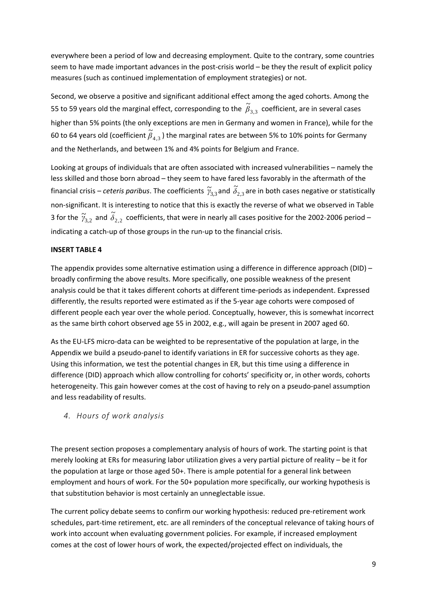everywhere been a period of low and decreasing employment. Quite to the contrary, some countries seem to have made important advances in the post-crisis world – be they the result of explicit policy measures (such as continued implementation of employment strategies) or not.

Second, we observe a positive and significant additional effect among the aged cohorts. Among the 55 to 59 years old the marginal effect, corresponding to the  $\widetilde{\beta}_{3,3}$  coefficient, are in several cases higher than 5% points (the only exceptions are men in Germany and women in France), while for the 60 to 64 years old (coefficient  $\widetilde{\beta}_{4,3}$ ) the marginal rates are between 5% to 10% points for Germany and the Netherlands, and between 1% and 4% points for Belgium and France.

Looking at groups of individuals that are often associated with increased vulnerabilities – namely the less skilled and those born abroad – they seem to have fared less favorably in the aftermath of the financial crisis – *ceteris paribus*. The coefficients  $\widetilde{\gamma}_{3,3}$  and  $\widetilde{\delta}_{2,3}$  are in both cases negative or statistically non‐significant. It is interesting to notice that this is exactly the reverse of what we observed in Table 3 for the  $\widetilde{\gamma}_{3,2}$  and  $\widetilde{\delta}_{2,2}$  coefficients, that were in nearly all cases positive for the 2002-2006 period – indicating a catch‐up of those groups in the run‐up to the financial crisis.

### **INSERT TABLE 4**

The appendix provides some alternative estimation using a difference in difference approach (DID) – broadly confirming the above results. More specifically, one possible weakness of the present analysis could be that it takes different cohorts at different time‐periods as independent. Expressed differently, the results reported were estimated as if the 5‐year age cohorts were composed of different people each year over the whole period. Conceptually, however, this is somewhat incorrect as the same birth cohort observed age 55 in 2002, e.g., will again be present in 2007 aged 60.

As the EU‐LFS micro‐data can be weighted to be representative of the population at large, in the Appendix we build a pseudo‐panel to identify variations in ER for successive cohorts as they age. Using this information, we test the potential changes in ER, but this time using a difference in difference (DID) approach which allow controlling for cohorts' specificity or, in other words, cohorts heterogeneity. This gain however comes at the cost of having to rely on a pseudo-panel assumption and less readability of results.

*4. Hours of work analysis* 

The present section proposes a complementary analysis of hours of work. The starting point is that merely looking at ERs for measuring labor utilization gives a very partial picture of reality – be it for the population at large or those aged 50+. There is ample potential for a general link between employment and hours of work. For the 50+ population more specifically, our working hypothesis is that substitution behavior is most certainly an unneglectable issue.

The current policy debate seems to confirm our working hypothesis: reduced pre‐retirement work schedules, part‐time retirement, etc. are all reminders of the conceptual relevance of taking hours of work into account when evaluating government policies. For example, if increased employment comes at the cost of lower hours of work, the expected/projected effect on individuals, the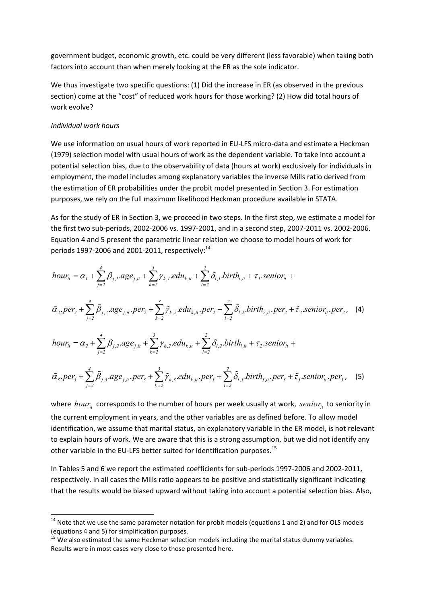government budget, economic growth, etc. could be very different (less favorable) when taking both factors into account than when merely looking at the ER as the sole indicator.

We thus investigate two specific questions: (1) Did the increase in ER (as observed in the previous section) come at the "cost" of reduced work hours for those working? (2) How did total hours of work evolve?

### *Individual work hours*

We use information on usual hours of work reported in EU-LFS micro-data and estimate a Heckman (1979) selection model with usual hours of work as the dependent variable. To take into account a potential selection bias, due to the observability of data (hours at work) exclusively for individuals in employment, the model includes among explanatory variables the inverse Mills ratio derived from the estimation of ER probabilities under the probit model presented in Section 3. For estimation purposes, we rely on the full maximum likelihood Heckman procedure available in STATA.

As for the study of ER in Section 3, we proceed in two steps. In the first step, we estimate a model for the first two sub‐periods, 2002‐2006 vs. 1997‐2001, and in a second step, 2007‐2011 vs. 2002‐2006. Equation 4 and 5 present the parametric linear relation we choose to model hours of work for periods 1997-2006 and 2001-2011, respectively: $^{14}$ 

$$
hour_{it} = \alpha_{1} + \sum_{j=2}^{4} \beta_{j,1}.age_{j,it} + \sum_{k=2}^{3} \gamma_{k,1}.edu_{k,it} + \sum_{l=2}^{2} \delta_{l,1}.birth_{l,it} + \tau_{1}.senior_{it} + \n\tilde{\alpha}_{2}.per_{2} + \sum_{j=2}^{4} \tilde{\beta}_{j,2}.age_{j,it}.per_{2} + \sum_{k=2}^{3} \tilde{\gamma}_{k,2}.edu_{k,it}.per_{2} + \sum_{l=2}^{2} \tilde{\delta}_{l,2}.birth_{2,it}.per_{2} + \tilde{\tau}_{2}.senior_{it}.per_{2}, (4)\nhour_{it} = \alpha_{2} + \sum_{j=2}^{4} \beta_{j,2}.age_{j,it} + \sum_{k=2}^{3} \gamma_{k,2}.edu_{k,it} + \sum_{l=2}^{2} \delta_{l,2}.birth_{l,it} + \tau_{2}.senior_{it} + \n\tilde{\alpha}_{3}.per_{3} + \sum_{j=2}^{4} \tilde{\beta}_{j,3}.age_{j,it}.per_{3} + \sum_{k=2}^{3} \tilde{\gamma}_{k,3}.edu_{k,it}.per_{3} + \sum_{l=2}^{2} \tilde{\delta}_{l,3}.birth_{3,it}.per_{3} + \tilde{\tau}_{3}.senior_{it}.per_{3}, (5)
$$

where *hour*, corresponds to the number of hours per week usually at work, *senior*, to seniority in the current employment in years, and the other variables are as defined before. To allow model identification, we assume that marital status, an explanatory variable in the ER model, is not relevant to explain hours of work. We are aware that this is a strong assumption, but we did not identify any other variable in the EU-LFS better suited for identification purposes.<sup>15</sup>

In Tables 5 and 6 we report the estimated coefficients for sub‐periods 1997‐2006 and 2002‐2011, respectively. In all cases the Mills ratio appears to be positive and statistically significant indicating that the results would be biased upward without taking into account a potential selection bias. Also,

 $14$  Note that we use the same parameter notation for probit models (equations 1 and 2) and for OLS models (equations 4 and 5) for simplification purposes.<br><sup>15</sup> We also estimated the same Heckman selection models including the marital status dummy variables.

Results were in most cases very close to those presented here.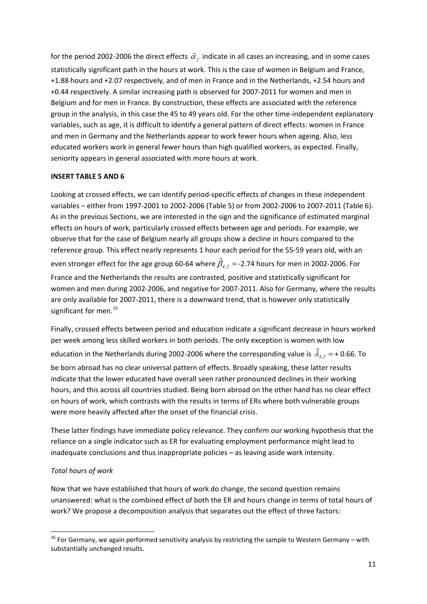for the period 2002-2006 the direct effects  $\tilde{\alpha}$ , indicate in all cases an increasing, and in some cases statistically significant path in the hours at work. This is the case of women in Belgium and France, +1.88 hours and +2.07 respectively, and of men in France and in the Netherlands, +2.54 hours and +0.44 respectively. A similar increasing path is observed for 2007‐2011 for women and men in Belgium and for men in France. By construction, these effects are associated with the reference group in the analysis, in this case the 45 to 49 years old. For the other time-independent explanatory variables, such as age, it is difficult to identify a general pattern of direct effects: women in France and men in Germany and the Netherlands appear to work fewer hours when ageing. Also, less educated workers work in general fewer hours than high qualified workers, as expected. Finally, seniority appears in general associated with more hours at work.

# **INSERT TABLE 5 AND 6**

Looking at crossed effects, we can identify period‐specific effects of changes in these independent variables – either from 1997‐2001 to 2002‐2006 (Table 5) or from 2002‐2006 to 2007‐2011 (Table 6). As in the previous Sections, we are interested in the sign and the significance of estimated marginal effects on hours of work, particularly crossed effects between age and periods. For example, we observe that for the case of Belgium nearly all groups show a decline in hours compared to the reference group. This effect nearly represents 1 hour each period for the 55‐59 years old, with an even stronger effect for the age group 60-64 where  $\tilde{\beta}_4$ , = -2.74 hours for men in 2002-2006. For France and the Netherlands the results are contrasted, positive and statistically significant for women and men during 2002‐2006, and negative for 2007‐2011. Also for Germany, where the results are only available for 2007‐2011, there is a downward trend, that is however only statistically significant for men. $^{16}$ 

Finally, crossed effects between period and education indicate a significant decrease in hours worked per week among less skilled workers in both periods. The only exception is women with low education in the Netherlands during 2002-2006 where the corresponding value is  $\tilde{\lambda}_{3,2} = +0.66$ . To be born abroad has no clear universal pattern of effects. Broadly speaking, these latter results indicate that the lower educated have overall seen rather pronounced declines in their working hours, and this across all countries studied. Being born abroad on the other hand has no clear effect on hours of work, which contrasts with the results in terms of ERs where both vulnerable groups were more heavily affected after the onset of the financial crisis.

These latter findings have immediate policy relevance. They confirm our working hypothesis that the reliance on a single indicator such as ER for evaluating employment performance might lead to inadequate conclusions and thus inappropriate policies – as leaving aside work intensity.

# *Total hours of work*

Now that we have established that hours of work do change, the second question remains unanswered: what is the combined effect of both the ER and hours change in terms of total hours of work? We propose a decomposition analysis that separates out the effect of three factors:

  $16$  For Germany, we again performed sensitivity analysis by restricting the sample to Western Germany – with substantially unchanged results.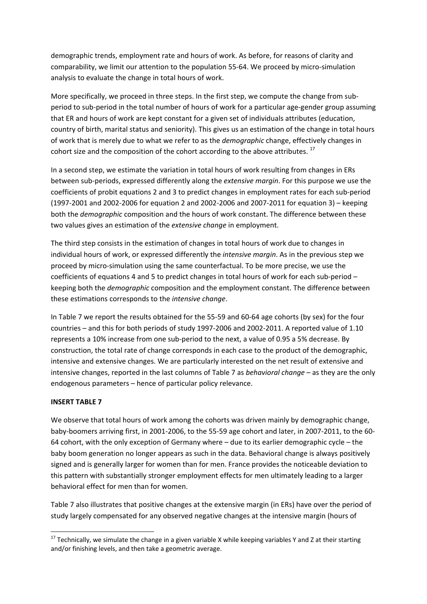demographic trends, employment rate and hours of work. As before, for reasons of clarity and comparability, we limit our attention to the population 55‐64. We proceed by micro‐simulation analysis to evaluate the change in total hours of work.

More specifically, we proceed in three steps. In the first step, we compute the change from subperiod to sub‐period in the total number of hours of work for a particular age‐gender group assuming that ER and hours of work are kept constant for a given set of individuals attributes (education, country of birth, marital status and seniority). This gives us an estimation of the change in total hours of work that is merely due to what we refer to as the *demographic* change, effectively changes in cohort size and the composition of the cohort according to the above attributes.<sup>17</sup>

In a second step, we estimate the variation in total hours of work resulting from changes in ERs between sub‐periods, expressed differently along the *extensive margin*. For this purpose we use the coefficients of probit equations 2 and 3 to predict changes in employment rates for each sub‐period (1997‐2001 and 2002‐2006 for equation 2 and 2002‐2006 and 2007‐2011 for equation 3) – keeping both the *demographic* composition and the hours of work constant. The difference between these two values gives an estimation of the *extensive change* in employment.

The third step consists in the estimation of changes in total hours of work due to changes in individual hours of work, or expressed differently the *intensive margin*. As in the previous step we proceed by micro‐simulation using the same counterfactual. To be more precise, we use the coefficients of equations 4 and 5 to predict changes in total hours of work for each sub-period – keeping both the *demographic* composition and the employment constant. The difference between these estimations corresponds to the *intensive change*.

In Table 7 we report the results obtained for the 55‐59 and 60‐64 age cohorts (by sex) for the four countries – and this for both periods of study 1997‐2006 and 2002‐2011. A reported value of 1.10 represents a 10% increase from one sub‐period to the next, a value of 0.95 a 5% decrease. By construction, the total rate of change corresponds in each case to the product of the demographic, intensive and extensive changes. We are particularly interested on the net result of extensive and intensive changes, reported in the last columns of Table 7 as *behavioral change* – as they are the only endogenous parameters – hence of particular policy relevance.

### **INSERT TABLE 7**

We observe that total hours of work among the cohorts was driven mainly by demographic change, baby‐boomers arriving first, in 2001‐2006, to the 55‐59 age cohort and later, in 2007‐2011, to the 60‐ 64 cohort, with the only exception of Germany where – due to its earlier demographic cycle – the baby boom generation no longer appears as such in the data. Behavioral change is always positively signed and is generally larger for women than for men. France provides the noticeable deviation to this pattern with substantially stronger employment effects for men ultimately leading to a larger behavioral effect for men than for women.

Table 7 also illustrates that positive changes at the extensive margin (in ERs) have over the period of study largely compensated for any observed negative changes at the intensive margin (hours of

 <sup>17</sup> Technically, we simulate the change in a given variable X while keeping variables Y and Z at their starting and/or finishing levels, and then take a geometric average.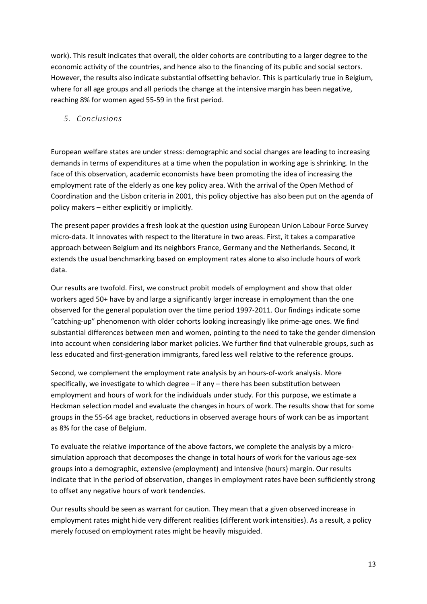work). This result indicates that overall, the older cohorts are contributing to a larger degree to the economic activity of the countries, and hence also to the financing of its public and social sectors. However, the results also indicate substantial offsetting behavior. This is particularly true in Belgium, where for all age groups and all periods the change at the intensive margin has been negative, reaching 8% for women aged 55‐59 in the first period.

# *5. Conclusions*

European welfare states are under stress: demographic and social changes are leading to increasing demands in terms of expenditures at a time when the population in working age is shrinking. In the face of this observation, academic economists have been promoting the idea of increasing the employment rate of the elderly as one key policy area. With the arrival of the Open Method of Coordination and the Lisbon criteria in 2001, this policy objective has also been put on the agenda of policy makers – either explicitly or implicitly.

The present paper provides a fresh look at the question using European Union Labour Force Survey micro‐data. It innovates with respect to the literature in two areas. First, it takes a comparative approach between Belgium and its neighbors France, Germany and the Netherlands. Second, it extends the usual benchmarking based on employment rates alone to also include hours of work data.

Our results are twofold. First, we construct probit models of employment and show that older workers aged 50+ have by and large a significantly larger increase in employment than the one observed for the general population over the time period 1997‐2011. Our findings indicate some "catching‐up" phenomenon with older cohorts looking increasingly like prime‐age ones. We find substantial differences between men and women, pointing to the need to take the gender dimension into account when considering labor market policies. We further find that vulnerable groups, such as less educated and first‐generation immigrants, fared less well relative to the reference groups.

Second, we complement the employment rate analysis by an hours‐of‐work analysis. More specifically, we investigate to which degree – if any – there has been substitution between employment and hours of work for the individuals under study. For this purpose, we estimate a Heckman selection model and evaluate the changes in hours of work. The results show that for some groups in the 55‐64 age bracket, reductions in observed average hours of work can be as important as 8% for the case of Belgium.

To evaluate the relative importance of the above factors, we complete the analysis by a micro‐ simulation approach that decomposes the change in total hours of work for the various age-sex groups into a demographic, extensive (employment) and intensive (hours) margin. Our results indicate that in the period of observation, changes in employment rates have been sufficiently strong to offset any negative hours of work tendencies.

Our results should be seen as warrant for caution. They mean that a given observed increase in employment rates might hide very different realities (different work intensities). As a result, a policy merely focused on employment rates might be heavily misguided.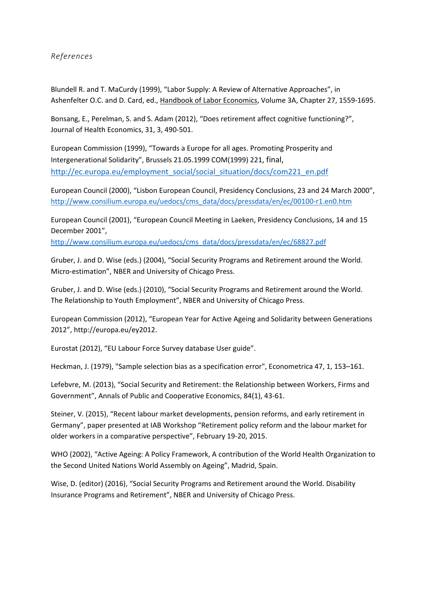# *References*

Blundell R. and T. MaCurdy (1999), "Labor Supply: A Review of Alternative Approaches", in Ashenfelter O.C. and D. Card, ed., Handbook of Labor Economics, Volume 3A, Chapter 27, 1559-1695.

Bonsang, E., Perelman, S. and S. Adam (2012), "Does retirement affect cognitive functioning?", Journal of Health Economics, 31, 3, 490‐501.

European Commission (1999), "Towards a Europe for all ages. Promoting Prosperity and Intergenerational Solidarity", Brussels 21.05.1999 COM(1999) 221, final, http://ec.europa.eu/employment\_social/social\_situation/docs/com221\_en.pdf

European Council (2000), "Lisbon European Council, Presidency Conclusions, 23 and 24 March 2000", http://www.consilium.europa.eu/uedocs/cms\_data/docs/pressdata/en/ec/00100‐r1.en0.htm

European Council (2001), "European Council Meeting in Laeken, Presidency Conclusions, 14 and 15 December 2001",

http://www.consilium.europa.eu/uedocs/cms\_data/docs/pressdata/en/ec/68827.pdf

Gruber, J. and D. Wise (eds.) (2004), "Social Security Programs and Retirement around the World. Micro‐estimation", NBER and University of Chicago Press.

Gruber, J. and D. Wise (eds.) (2010), "Social Security Programs and Retirement around the World. The Relationship to Youth Employment", NBER and University of Chicago Press.

European Commission (2012), "European Year for Active Ageing and Solidarity between Generations 2012", http://europa.eu/ey2012.

Eurostat (2012), "EU Labour Force Survey database User guide".

Heckman, J. (1979), "Sample selection bias as a specification error", Econometrica 47, 1, 153–161.

Lefebvre, M. (2013), "Social Security and Retirement: the Relationship between Workers, Firms and Government", Annals of Public and Cooperative Economics, 84(1), 43‐61.

Steiner, V. (2015), "Recent labour market developments, pension reforms, and early retirement in Germany", paper presented at IAB Workshop "Retirement policy reform and the labour market for older workers in a comparative perspective", February 19‐20, 2015.

WHO (2002), "Active Ageing: A Policy Framework, A contribution of the World Health Organization to the Second United Nations World Assembly on Ageing", Madrid, Spain.

Wise, D. (editor) (2016), "Social Security Programs and Retirement around the World. Disability Insurance Programs and Retirement", NBER and University of Chicago Press.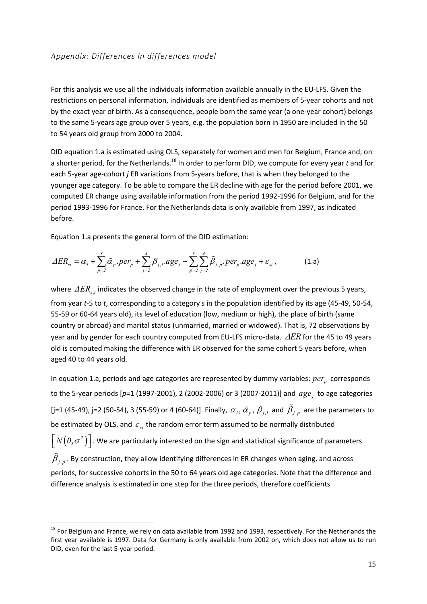For this analysis we use all the individuals information available annually in the EU‐LFS. Given the restrictions on personal information, individuals are identified as members of 5‐year cohorts and not by the exact year of birth. As a consequence, people born the same year (a one‐year cohort) belongs to the same 5‐years age group over 5 years, e.g. the population born in 1950 are included in the 50 to 54 years old group from 2000 to 2004.

DID equation 1.a is estimated using OLS, separately for women and men for Belgium, France and, on a shorter period, for the Netherlands.<sup>18</sup> In order to perform DID, we compute for every year *t* and for each 5‐year age‐cohort *j* ER variations from 5‐years before, that is when they belonged to the younger age category. To be able to compare the ER decline with age for the period before 2001, we computed ER change using available information from the period 1992‐1996 for Belgium, and for the period 1993‐1996 for France. For the Netherlands data is only available from 1997, as indicated before.

Equation 1.a presents the general form of the DID estimation:

$$
\Delta ER_{st} = \alpha_1 + \sum_{p=2}^{3} \tilde{\alpha}_p \cdot per_p + \sum_{j=2}^{4} \beta_{j,1} \cdot age_j + \sum_{p=2}^{3} \sum_{j=2}^{4} \tilde{\beta}_{j,p} \cdot per_p \cdot age_j + \varepsilon_{st} \,, \tag{1.3}
$$

where  $\Delta ER_{st}$  indicates the observed change in the rate of employment over the previous 5 years, from year *t*‐5 to *t*, corresponding to a category *s* in the population identified by its age (45‐49, 50‐54, 55-59 or 60-64 years old), its level of education (low, medium or high), the place of birth (same country or abroad) and marital status (unmarried, married or widowed). That is, 72 observations by year and by gender for each country computed from EU-LFS micro-data. ∆ER for the 45 to 49 years old is computed making the difference with ER observed for the same cohort 5 years before, when aged 40 to 44 years old.

In equation 1.a, periods and age categories are represented by dummy variables: *per*<sub>n</sub> corresponds to the 5-year periods [p=1 (1997-2001), 2 (2002-2006) or 3 (2007-2011)] and  $age_i$  to age categories [j=1 (45-49), j=2 (50-54), 3 (55-59) or 4 (60-64)]. Finally,  $\alpha_1, \tilde{\alpha}_p, \beta_{j,l}$  and  $\tilde{\beta}_{j,p}$  are the parameters to be estimated by OLS, and  $\varepsilon_{st}$  the random error term assumed to be normally distributed  $\left\lceil N\bigl(0,\sigma^2 \bigr)\right\rceil$ . We are particularly interested on the sign and statistical significance of parameters  $\hat{\beta}_{i,n}$ . By construction, they allow identifying differences in ER changes when aging, and across periods, for successive cohorts in the 50 to 64 years old age categories. Note that the difference and difference analysis is estimated in one step for the three periods, therefore coefficients

<sup>&</sup>lt;sup>18</sup> For Belgium and France, we rely on data available from 1992 and 1993, respectively. For the Netherlands the first year available is 1997. Data for Germany is only available from 2002 on, which does not allow us to run DID, even for the last 5‐year period.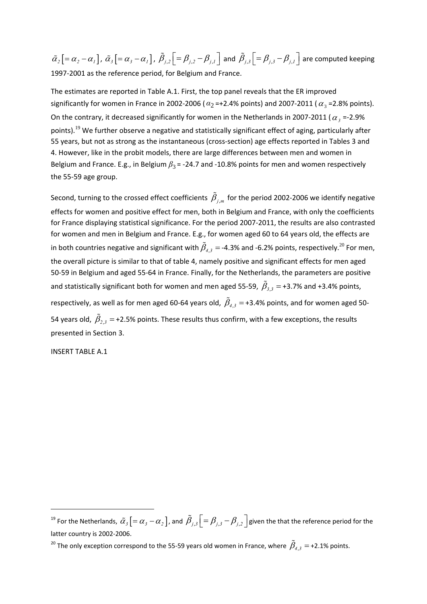$\tilde{\alpha}_2$   $\left[ = \alpha_2 - \alpha_1 \right]$ ,  $\tilde{\alpha}_3$   $\left[ = \alpha_3 - \alpha_1 \right]$ ,  $\tilde{\beta}_{j,2}$   $\left[ = \beta_{j,2} - \beta_{j,1} \right]$  and  $\tilde{\beta}_{j,3}$   $\left[ = \beta_{j,3} - \beta_{j,1} \right]$  are computed keeping 1997-2001 as the reference period, for Belgium and France.

The estimates are reported in Table A.1. First, the top panel reveals that the ER improved significantly for women in France in 2002-2006 ( $\alpha_2$ =+2.4% points) and 2007-2011 ( $\alpha_3$ =2.8% points). On the contrary, it decreased significantly for women in the Netherlands in 2007-2011 ( $\alpha$ , =-2.9% points).<sup>19</sup> We further observe a negative and statistically significant effect of aging, particularly after 55 years, but not as strong as the instantaneous (cross‐section) age effects reported in Tables 3 and 4. However, like in the probit models, there are large differences between men and women in Belgium and France. E.g., in Belgium  $\beta_3$  = -24.7 and -10.8% points for men and women respectively the 55‐59 age group.

Second, turning to the crossed effect coefficients  $\tilde{\beta}_{i,m}$  for the period 2002-2006 we identify negative effects for women and positive effect for men, both in Belgium and France, with only the coefficients for France displaying statistical significance. For the period 2007-2011, the results are also contrasted for women and men in Belgium and France. E.g., for women aged 60 to 64 years old, the effects are in both countries negative and significant with  $\tilde{\beta}_4$ , = -4.3% and -6.2% points, respectively.<sup>20</sup> For men, the overall picture is similar to that of table 4, namely positive and significant effects for men aged 50-59 in Belgium and aged 55-64 in France. Finally, for the Netherlands, the parameters are positive and statistically significant both for women and men aged 55-59,  $\beta_{3,3}$  = +3.7% and +3.4% points, respectively, as well as for men aged 60-64 years old,  $\tilde{\beta}_4$ , = +3.4% points, and for women aged 50-54 years old,  $\tilde{\beta}_2$ , = +2.5% points. These results thus confirm, with a few exceptions, the results presented in Section 3.

INSERT TABLE A.1

 $^{19}$  For the Netherlands,  $\tilde{\alpha}_j$   $[=\alpha_j-\alpha_j]$  , and  $\tilde{\beta}_{j,3}$   $\left[=\beta_{j,3}-\beta_{j,2}\right]$  given the that the reference period for the latter country is 2002‐2006.

<sup>&</sup>lt;sup>20</sup> The only exception correspond to the 55-59 years old women in France, where  $\tilde{\beta}_{4,3} =$  +2.1% points.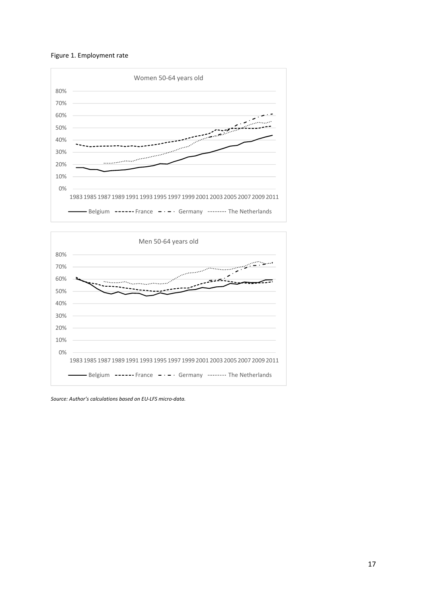





*Source: Author's calculations based on EU‐LFS micro‐data.*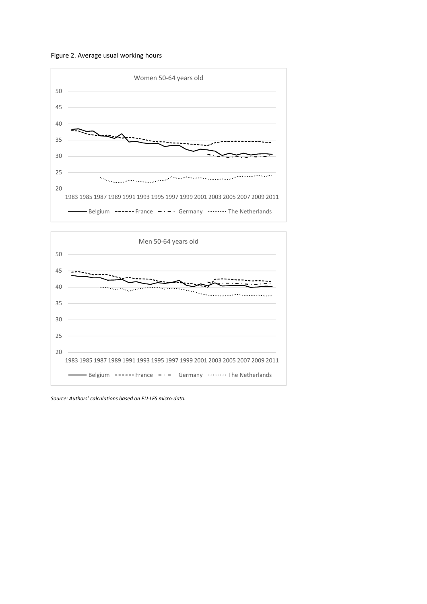





*Source: Authors' calculations based on EU‐LFS micro‐data.*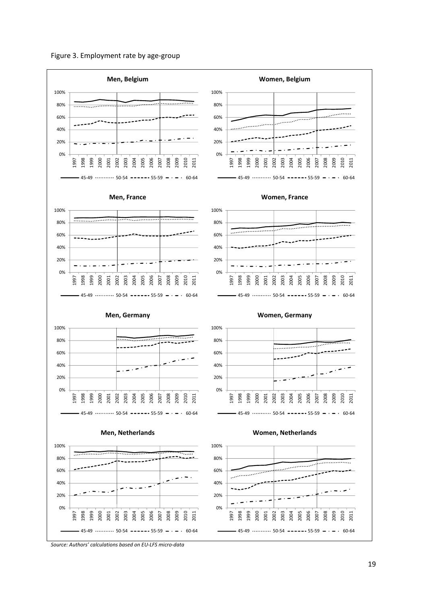



*Source: Authors' calculations based on EU‐LFS micro‐data*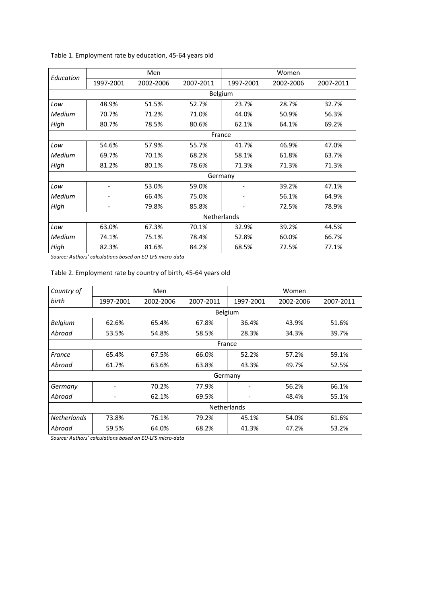| Education |           | Men       |           | Women              |           |           |  |
|-----------|-----------|-----------|-----------|--------------------|-----------|-----------|--|
|           | 1997-2001 | 2002-2006 | 2007-2011 | 1997-2001          | 2002-2006 | 2007-2011 |  |
|           |           |           | Belgium   |                    |           |           |  |
| Low       | 48.9%     | 51.5%     | 52.7%     | 23.7%              | 28.7%     | 32.7%     |  |
| Medium    | 70.7%     | 71.2%     | 71.0%     | 44.0%              | 50.9%     | 56.3%     |  |
| High      | 80.7%     | 78.5%     | 80.6%     | 62.1%              | 64.1%     | 69.2%     |  |
|           |           |           | France    |                    |           |           |  |
| Low       | 54.6%     | 57.9%     | 55.7%     | 41.7%              | 46.9%     | 47.0%     |  |
| Medium    | 69.7%     | 70.1%     | 68.2%     | 58.1%              | 61.8%     | 63.7%     |  |
| High      | 81.2%     | 80.1%     | 78.6%     | 71.3%              | 71.3%     | 71.3%     |  |
|           |           |           |           | Germany            |           |           |  |
| Low       |           | 53.0%     | 59.0%     |                    | 39.2%     | 47.1%     |  |
| Medium    |           | 66.4%     | 75.0%     |                    | 56.1%     | 64.9%     |  |
| High      |           | 79.8%     | 85.8%     |                    | 72.5%     | 78.9%     |  |
|           |           |           |           | <b>Netherlands</b> |           |           |  |
| Low       | 63.0%     | 67.3%     | 70.1%     | 32.9%              | 39.2%     | 44.5%     |  |
| Medium    | 74.1%     | 75.1%     | 78.4%     | 52.8%              | 60.0%     | 66.7%     |  |
| High      | 82.3%     | 81.6%     | 84.2%     | 68.5%              | 72.5%     | 77.1%     |  |

Table 1. Employment rate by education, 45‐64 years old

*Source: Authors' calculations based on EU‐LFS micro‐data*

### Table 2. Employment rate by country of birth, 45‐64 years old

| Country of         |                    | Men       |           |           | Women     |           |  |  |
|--------------------|--------------------|-----------|-----------|-----------|-----------|-----------|--|--|
| birth              | 1997-2001          | 2002-2006 | 2007-2011 | 1997-2001 | 2002-2006 | 2007-2011 |  |  |
|                    |                    |           | Belgium   |           |           |           |  |  |
| <b>Belgium</b>     | 62.6%              | 65.4%     | 67.8%     | 36.4%     | 43.9%     | 51.6%     |  |  |
| Abroad             | 53.5%              | 54.8%     | 58.5%     | 28.3%     | 34.3%     | 39.7%     |  |  |
|                    | France             |           |           |           |           |           |  |  |
| France             | 65.4%              | 67.5%     | 66.0%     | 52.2%     | 57.2%     | 59.1%     |  |  |
| Abroad             | 61.7%              | 63.6%     | 63.8%     | 43.3%     | 49.7%     | 52.5%     |  |  |
|                    |                    |           |           | Germany   |           |           |  |  |
| Germany            |                    | 70.2%     | 77.9%     |           | 56.2%     | 66.1%     |  |  |
| Abroad             |                    | 62.1%     | 69.5%     |           | 48.4%     | 55.1%     |  |  |
|                    | <b>Netherlands</b> |           |           |           |           |           |  |  |
| <b>Netherlands</b> | 73.8%              | 76.1%     | 79.2%     | 45.1%     | 54.0%     | 61.6%     |  |  |
| Abroad             | 59.5%              | 64.0%     | 68.2%     | 41.3%     | 47.2%     | 53.2%     |  |  |

*Source: Authors' calculations based on EU‐LFS micro‐data*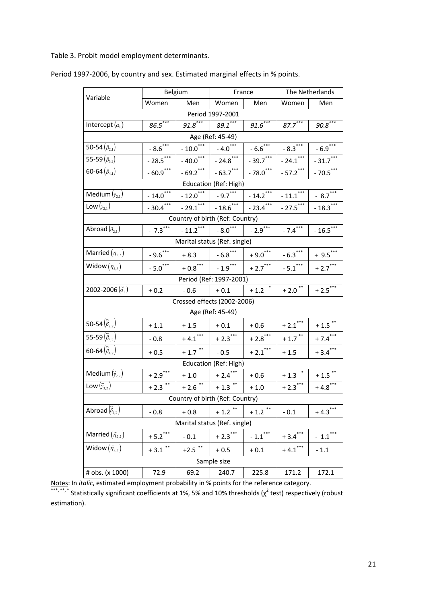Table 3. Probit model employment determinants.

| Variable                            |                       | Belgium                                  |                         | France                | The Netherlands      |                       |  |  |  |
|-------------------------------------|-----------------------|------------------------------------------|-------------------------|-----------------------|----------------------|-----------------------|--|--|--|
|                                     | Women                 | Men                                      | Women                   | Men                   | Women                | Men                   |  |  |  |
|                                     |                       |                                          | Period 1997-2001        |                       |                      |                       |  |  |  |
| Intercept $(\alpha_1)$              | $86.5***$             | $91.8***$                                | $89.1$ ***              | $91.6***$             | $87.7***$            | $90.8***$             |  |  |  |
|                                     |                       |                                          | Age (Ref: 45-49)        |                       |                      |                       |  |  |  |
| 50-54 $(\beta_{2,1})$               | $-8.6$ <sup>***</sup> | $-10.0$ <sup>***</sup>                   | $-4.0***$               | $-6.6$ ***            | $-8.3***$            | $-6.9***$             |  |  |  |
| 55-59 $(\beta_{31})$                | $-28.5***$            | $-40.0$ <sup>***</sup>                   | $-24.8$ ***             | $-39.7$ ***           | $-24.1$ ***          | $-31.7$ ***           |  |  |  |
| 60-64 $(\beta_{4,1})$               | $-60.9$ ***           | $-69.2$ <sup>***</sup>                   | $-63.7***$              | $-78.0$ ***           | $-57.2$ ***          | $-70.5$ ***           |  |  |  |
| Education (Ref: High)               |                       |                                          |                         |                       |                      |                       |  |  |  |
| Medium $(y_{2,1})$                  | $-14.0$ ***           | $-12.0$ ***                              | $-9.7***$               | $-14.2$ ***           | $-11.1***$           | $-8.7$ <sup>***</sup> |  |  |  |
| Low $(y_{2,1})$                     | $-30.4$ ***           | $-29.1***$                               | $-18.6$ ***             | $-23.4$ ***           | $-27.5$ ***          | $-18.3$ ***           |  |  |  |
| Country of birth (Ref: Country)     |                       |                                          |                         |                       |                      |                       |  |  |  |
| Abroad $(\delta_{2,1})$             | $-7.3***$             | $-11.2$ ***                              | $-8.0^{***}$            | $-2.9***$             | $-7.4$               | $-16.5$ ***           |  |  |  |
|                                     |                       | Marital status (Ref. single)             |                         |                       |                      |                       |  |  |  |
| Married $(\eta_{2,I})$              | $-9.6$ ***            | $+8.3$                                   | $-6.8$ ***              | $+9.0$ ***            | $-6.3***$            | $+ 9.5***$            |  |  |  |
| Widow $(\eta_{3,I})$                | $-5.0$ ***            | $+$ 0.8 $\sp{^\ast\sp{^\ast\sp{^\ast}}}$ | $-1.9***$               | $+2.7$ ***            | $-5.1***$            | $+2.7***$             |  |  |  |
|                                     |                       |                                          | Period (Ref: 1997-2001) |                       |                      |                       |  |  |  |
| 2002-2006 $(\tilde{a}_{2})$         | $+0.2$                | $-0.6$                                   | $+0.1$                  | $+1.2$ *              | $+2.0$ <sup>**</sup> | $+2.5***$             |  |  |  |
|                                     |                       | Crossed effects (2002-2006)              |                         |                       |                      |                       |  |  |  |
|                                     |                       |                                          | Age (Ref: 45-49)        |                       |                      |                       |  |  |  |
| 50-54 $(\tilde{\beta}_{2,2})$       | $+1.1$                | $+1.5$                                   | $+0.1$                  | $+0.6$                | $+2.1***$            | $+ 1.5$ **            |  |  |  |
| 55-59 $(\tilde{\beta}_{3,2})$       | $-0.8$                | $+4.1$ ***                               | $+2.3$ ***              | $+2.8$ ***            | $+1.7$ **            | $+7.4***$             |  |  |  |
| 60-64 $(\tilde{\beta}_{4,2})$       | $+0.5$                | $+ 1.7$ **                               | $-0.5$                  | $+2.1$ <sup>***</sup> | $+1.5$               | $+3.4***$             |  |  |  |
|                                     |                       |                                          | Education (Ref: High)   |                       |                      |                       |  |  |  |
| Medium $(\tilde{y}_{2,2})$          | $+2.9$ <sup>***</sup> | $+1.0$                                   | $+2.4$ <sup>***</sup>   | $+0.6$                | $+1.3$               | $+ 1.5$ **            |  |  |  |
| Low $(\widetilde{\gamma}_{3.2})$    | $***$<br>$+2.3$       | $+2.6$ <sup>**</sup>                     | $+ 1.3$ **              | $+1.0$                | $+2.3***$            | $+4.8$ ***            |  |  |  |
|                                     |                       | Country of birth (Ref: Country)          |                         |                       |                      |                       |  |  |  |
| Abroad $(\widetilde{\delta}_{2,2})$ | $-0.8$                | $+0.8$                                   | $+ 1.2$ **              | $+ 1.2$ <sup>**</sup> | $-0.1$               | $+4.3$ <sup>***</sup> |  |  |  |
|                                     |                       | Marital status (Ref. single)             |                         |                       |                      |                       |  |  |  |
| Married $(\tilde{\eta}_{2,2})$      | $+5.2$ <sup>***</sup> | $-0.1$                                   | $+2.3$ ***              | $-1.1$ ***            | $+3.4$ ***           | $-1.1$ ***            |  |  |  |
| Widow $(\tilde{\eta}_{3,2})$        | $+3.1$ **             | $+2.5$ **                                | $+0.5$                  | $+0.1$                | $+4.1$ ***           | $-1.1$                |  |  |  |
|                                     |                       |                                          | Sample size             |                       |                      |                       |  |  |  |
| # obs. (x 1000)                     | 72.9                  | 69.2                                     | 240.7                   | 225.8                 | 171.2                | 172.1                 |  |  |  |

Period 1997‐2006, by country and sex. Estimated marginal effects in % points.

Notes: In *italic*, estimated employment probability in % points for the reference category.

 $***$ ,  $**$ , Statistically significant coefficients at 1%, 5% and 10% thresholds ( $\chi^2$  test) respectively (robust estimation).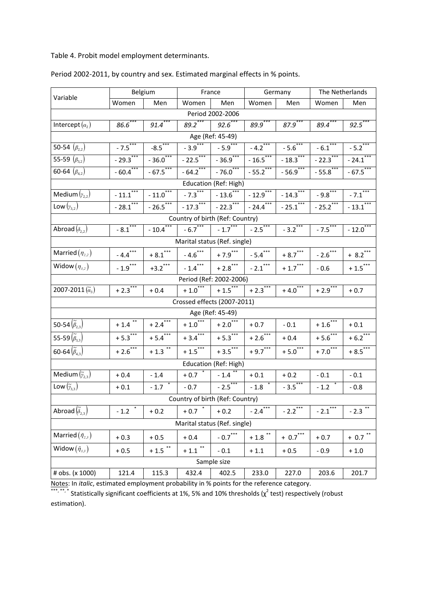Table 4. Probit model employment determinants.

| Variable                            | Belgium                         |                      | France                          |                                             | Germany                             |                                          | The Netherlands       |                        |  |
|-------------------------------------|---------------------------------|----------------------|---------------------------------|---------------------------------------------|-------------------------------------|------------------------------------------|-----------------------|------------------------|--|
|                                     | Women                           | Men                  | Women                           | Men                                         | Women                               | Men                                      | Women                 | Men                    |  |
|                                     |                                 |                      |                                 | Period 2002-2006                            |                                     |                                          |                       |                        |  |
| Intercept $(a_2)$                   | $86.6$ ***                      | $91.4***$            | $89.2***$                       | $92.6$ ***                                  | $89.9***$                           | $87.9***$                                | $89.4$ ***            | $92.5***$              |  |
|                                     |                                 |                      |                                 | Age (Ref: 45-49)                            |                                     |                                          |                       |                        |  |
| 50-54 $(\beta_{2,2})$               | $-7.5***$                       | $-8.5***$            | $-3.9***$                       | $-5.9$ <sup>***</sup>                       | $-4.2***$                           | $-5.\overline{6}^{***}$                  | $-6.1$ <sup>***</sup> | $-5.2$                 |  |
| 55-59 $(\beta_{3,2})$               | $-29.3***$                      | $-36.0$ ***          | $-22.5$ ***                     | $-36.9$ ***                                 | $-16.5***$                          | $-18.3***$                               | $-22.3***$            | $-24.1$ ***            |  |
| 60-64 $(\beta_{4,2})$               | $-60.4***$                      | $-67.5***$           | $-64.2***$                      | $-76.0$ ***                                 | $-55.2$                             | $-56.9$ ***                              | $-55.8$ ***           | $-67.5***$             |  |
| Education (Ref: High)               |                                 |                      |                                 |                                             |                                     |                                          |                       |                        |  |
| Medium $(y_{2,2})$                  | $-11.1***$                      | $-11.0***$           | $-7.3$                          | $-13.6$ ***                                 | $-12.9$ ***                         | $-14.3$ ***                              | $-9.8$ <sup>***</sup> | $-7.1$ ***             |  |
| Low $(y_{3,2})$                     | $-28.1$ ***                     | $-26.5***$           | $-17.3***$                      | $-22.3***$                                  | $-24.4$ ***                         | $-25.1***$                               | $-25.2$ ***           | $-13.1$ ***            |  |
|                                     | Country of birth (Ref: Country) |                      |                                 |                                             |                                     |                                          |                       |                        |  |
| Abroad $(\delta_{2,2})$             | $-8.1***$                       | $-10.4$ ***          |                                 | $-6.7$ <sup>***</sup> $-1.7$ <sup>***</sup> | $-2.5$ ***                          | $-3.2$                                   | $-7.5***$             | $-12.0$ ***            |  |
|                                     | Marital status (Ref. single)    |                      |                                 |                                             |                                     |                                          |                       |                        |  |
| Married $(\eta_{2,2})$              | $-4.4$ <sup>***</sup>           | $+8.1***$            | $-4.6$ ***                      | $+7.9$ ***                                  | $-5.4***$                           | $+$ 8.7 $^{\ast\ast\ast}$                | $-2.6$ ***            | $+ 8.2$ <sup>***</sup> |  |
| Widow $(\eta_{3,2})$                | $-1.9$ ***                      | $+3.2$ ***           | $-1.4***$                       | $+2.8$ ***                                  | $-2.1***$                           | $+$ 1.7 $\hspace{-0.6em}^{\ast\ast\ast}$ | $-0.6$                | $+ 1.5$ ***            |  |
|                                     |                                 |                      |                                 | Period (Ref: 2002-2006)                     |                                     |                                          |                       |                        |  |
| 2007-2011 $(\tilde{\alpha}_3)$      | $+2.3$ <sup>***</sup>           | $+0.4$               | $+1.0***$                       | $+1.5$ ***                                  | $+2.3***$                           | $+4.0$ ***                               | $+2.9$ <sup>***</sup> | $+0.7$                 |  |
|                                     |                                 |                      | Crossed effects (2007-2011)     |                                             |                                     |                                          |                       |                        |  |
|                                     |                                 |                      |                                 | Age (Ref: 45-49)                            |                                     |                                          |                       |                        |  |
| 50-54 $(\tilde{\beta}_{2,3})$       | $+1.4$ <sup>**</sup>            | $+2.4***$            | $+1.0***$                       | $+2.0$ <sup>***</sup>                       | $+0.7$                              | $-0.1$                                   | $+1.6$ <sup>***</sup> | $+0.1$                 |  |
| 55-59 $(\widetilde{\beta}_{3,3})$   | $+5.3***$                       | $+5.4$               | $+3.4***$                       | $+5.3***$                                   | $+2.6$ <sup>***</sup>               | $+0.4$                                   | $+5.6$ <sup>***</sup> | $+ 6.2***$             |  |
| 60-64 $(\widetilde{\beta}_{4,3})$   | $+2.6***$                       | $+1.3$ <sup>**</sup> | $+1.5$ ***                      | $+3.5$ <sup>***</sup>                       | $+9.7$ <sup>***</sup>               | $+5.0***$                                | $+7.0$ <sup>***</sup> | $+8.5$ <sup>***</sup>  |  |
|                                     |                                 |                      |                                 | Education (Ref: High)                       |                                     |                                          |                       |                        |  |
| Medium $(\tilde{y}_{2,3})$          | $+0.4$                          | $-1.4$               | $+0.7$ *                        | $-1.4$ <sup>**</sup>                        | $+0.1$                              | $+0.2$                                   | $-0.1$                | $-0.1$                 |  |
| Low $(\tilde{\gamma}_{3,3})$        | $+0.1$                          | $-1.7$               | $-0.7$                          | $-2.5***$                                   | $-1.8$                              | $-3.5***$                                | $-1.2$ $*$            | $-0.8$                 |  |
|                                     |                                 |                      | Country of birth (Ref: Country) |                                             |                                     |                                          |                       |                        |  |
| Abroad $(\widetilde{\delta}_{2,3})$ | $\ast$<br>$-1.2$                | $+0.2$               | $\ast$<br>$+0.7$                | $+0.2$                                      | $-2.4***$                           | $***$<br>$-2.2$                          | $***$<br>$-2.1$       | $***$<br>$-2.3$        |  |
|                                     |                                 |                      | Marital status (Ref. single)    |                                             |                                     |                                          |                       |                        |  |
| Married $(\tilde{\eta}_{2,3})$      | $+0.3$                          | $+0.5$               | $+0.4$                          | - $0.7^\mathrm{***}$                        | $+$ 1.8 $\hspace{0.1cm}^{\ast\ast}$ | $+ 0.7$ <sup>***</sup>                   | $+0.7$                | $+ 0.7$ **             |  |
| Widow $(\tilde{\eta}_{3,3})$        | $+0.5$                          | $+ 1.5$ **           | $+ 1.1$ **                      | $-0.1$                                      | $+1.1$                              | $+0.5$                                   | $-0.9$                | $+1.0$                 |  |
|                                     |                                 |                      |                                 | Sample size                                 |                                     |                                          |                       |                        |  |
| # obs. (x 1000)                     | 121.4                           | 115.3                | 432.4                           | 402.5                                       | 233.0                               | 227.0                                    | 203.6                 | 201.7                  |  |

Period 2002‐2011, by country and sex. Estimated marginal effects in % points.

Notes: In *italic*, estimated employment probability in % points for the reference category.

 $***$ ,  $*$ , Statistically significant coefficients at 1%, 5% and 10% thresholds ( $\chi^2$  test) respectively (robust estimation).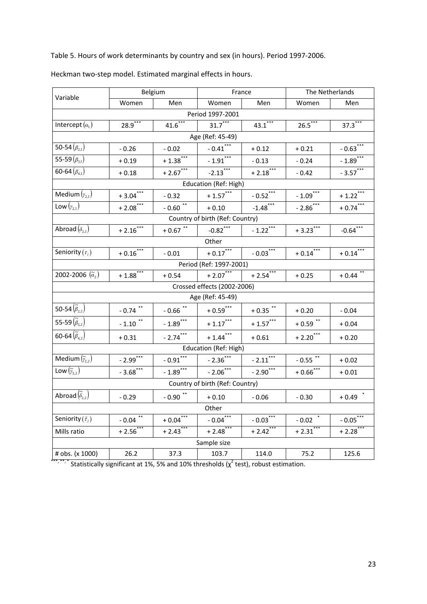Table 5. Hours of work determinants by country and sex (in hours). Period 1997‐2006.

| Variable                            | Belgium                 |                        |                                 | France                  | The Netherlands                    |                        |  |  |  |
|-------------------------------------|-------------------------|------------------------|---------------------------------|-------------------------|------------------------------------|------------------------|--|--|--|
|                                     | Women                   | Men                    | Women                           | Men                     | Women                              | Men                    |  |  |  |
|                                     |                         |                        | Period 1997-2001                |                         |                                    |                        |  |  |  |
| Intercept $(a_1)$                   | $28.9***$               | $41.6***$              | $31.7***$                       | $43.1***$               | $26.5***$                          | $37.3***$              |  |  |  |
|                                     |                         |                        | Age (Ref: 45-49)                |                         |                                    |                        |  |  |  |
| 50-54 $(\beta_{2,1})$               | $-0.26$                 | $-0.02$                | $-0.41$ <sup>***</sup>          | $+0.12$                 | $+0.21$                            | $-0.63$ <sup>***</sup> |  |  |  |
| 55-59 $(\beta_{3,1})$               | $+0.19$                 | $+1.38***$             | $-1.91$ ***                     | $-0.13$                 | $-0.24$                            | $-1.89$ <sup>***</sup> |  |  |  |
| 60-64 $(\beta_{4,1})$               | $+0.18$                 | $+2.67$ <sup>***</sup> | $-2.13***$                      | $+2.18***$              | $-0.42$                            | $-3.57$ ***            |  |  |  |
| Education (Ref: High)               |                         |                        |                                 |                         |                                    |                        |  |  |  |
| Medium $(y_{2,1})$                  | $+3.04$ ***             | $-0.32$                | $+1.57$ <sup>***</sup>          | $-0.52$ <sup>***</sup>  | $-1.09$                            | $+1.22$ <sup>***</sup> |  |  |  |
| Low $(y_{2,1})$                     | $+2.08$ <sup>***</sup>  | $-0.60$ **             | $+0.10$                         | $-1.48$ <sup>***</sup>  | $-2.86***$                         | $+0.74***$             |  |  |  |
| Country of birth (Ref: Country)     |                         |                        |                                 |                         |                                    |                        |  |  |  |
| Abroad $(\delta_{2,1})$             | $+2.16$ <sup>***</sup>  | $+0.67$ **             | $-0.82$ <sup>***</sup>          | $-1.22$ <sup>***</sup>  | $+3.23$ <sup>***</sup>             | $-0.64$ ***            |  |  |  |
| Other                               |                         |                        |                                 |                         |                                    |                        |  |  |  |
| Seniority $(\tau_i)$                | $+0.16$ ***             | $-0.01$                | $+0.17***$                      | $-0.03$ <sup>***</sup>  | $+ 0.14$ <sup>***</sup>            | $+0.14$ ***            |  |  |  |
|                                     |                         |                        | Period (Ref: 1997-2001)         |                         |                                    |                        |  |  |  |
| 2002-2006 $(\tilde{a},)$            | $+1.88$ <sup>***</sup>  | $+0.54$                | $+2.07***$                      | $+2.54***$              | $+0.25$                            | $+0.44$ <sup>**</sup>  |  |  |  |
|                                     |                         |                        | Crossed effects (2002-2006)     |                         |                                    |                        |  |  |  |
|                                     |                         |                        | Age (Ref: 45-49)                |                         |                                    |                        |  |  |  |
| 50-54 $(\widetilde{\beta}_{2,2})$   | $-0.74$ **              | $-0.66$ **             | $+ 0.59$ ***                    | $+$ 0.35 $^\ast{}^\ast$ | $+0.20$                            | $-0.04$                |  |  |  |
| 55-59 $(\widetilde{\beta}_{3.2})$   | $-1.10$ **              | $-1.89$ ***            | $+1.17$ ***                     | $+1.57***$              | $+0.59$ **                         | $+0.04$                |  |  |  |
| 60-64 $(\tilde{\beta}_{4.2})$       | $+0.31$                 | $-2.74***$             | $+ 1.44$ ***                    | $+0.61$                 | $+2.20$ <sup>***</sup>             | $+0.20$                |  |  |  |
|                                     |                         |                        | Education (Ref: High)           |                         |                                    |                        |  |  |  |
| Medium $(\tilde{y}_{2,2})$          | $-2.99$ <sup>***</sup>  | $-0.91***$             | $-2.36$                         | $-2.11$ <sup>***</sup>  | $-0.55$ <sup>**</sup>              | $+0.02$                |  |  |  |
| Low $(\widetilde{\gamma}_{3.2})$    | $-3.68$ ***             | $-1.89$                | $-2.06$ ***                     | $-2.90***$              | $+0.66$ ***                        | $+0.01$                |  |  |  |
|                                     |                         |                        | Country of birth (Ref: Country) |                         |                                    |                        |  |  |  |
| Abroad $(\widetilde{\delta}_{2,2})$ | $-0.29$                 | $-0.90$ **             | $+0.10$                         | $-0.06$                 | $-0.30$                            | $+0.49$ $*$            |  |  |  |
|                                     |                         |                        | Other                           |                         |                                    |                        |  |  |  |
| Seniority $(\tilde{\tau}_2)$        | $\mbox{-} 0.04$ $^{**}$ | $+0.04***$             | $-0.04$ <sup>***</sup>          | $-0.03***$              | $\mbox{-} 0.02$ $\hspace{0.1cm}^*$ | $-0.05$ ***            |  |  |  |
| Mills ratio                         | $+2.56***$              | $+2.43***$             | $+2.48$ ***                     | $+2.42$ <sup>***</sup>  | $+2.31$ <sup>*</sup>               | $+2.28$ ***            |  |  |  |
|                                     |                         |                        | Sample size                     |                         |                                    |                        |  |  |  |
| # obs. (x 1000)                     | 26.2                    | 37.3                   | 103.7                           | 114.0                   | 75.2                               | 125.6                  |  |  |  |

Heckman two‐step model. Estimated marginal effects in hours.

 $\cdots$ , Statistically significant at 1%, 5% and 10% thresholds ( $\chi^2$  test), robust estimation.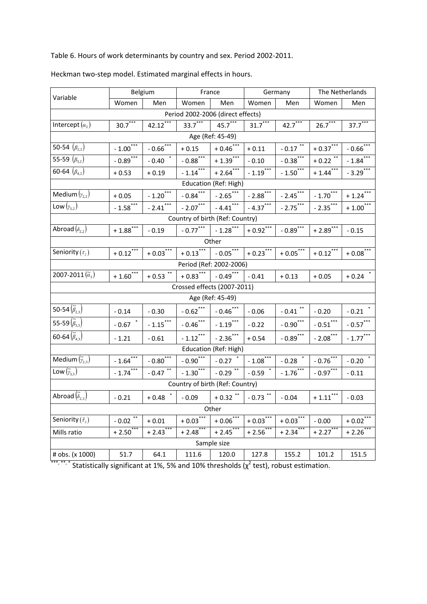Table 6. Hours of work determinants by country and sex. Period 2002‐2011.

| Variable                            | Belgium                |                          | France                            |                                  | Germany                 |                          | The Netherlands         |                        |  |
|-------------------------------------|------------------------|--------------------------|-----------------------------------|----------------------------------|-------------------------|--------------------------|-------------------------|------------------------|--|
|                                     | Women                  | Men                      | Women                             | Men                              | Women                   | Men                      | Women                   | Men                    |  |
|                                     |                        |                          | Period 2002-2006 (direct effects) |                                  |                         |                          |                         |                        |  |
| Intercept $(a_2)$                   | $30.7***$              | $42.12***$               | $33.7***$                         | $45.7***$                        | $31.7***$               | $42.7***$                | $26.7***$               | $37.7***$              |  |
|                                     |                        |                          |                                   | Age (Ref: 45-49)                 |                         |                          |                         |                        |  |
| 50-54 $(\beta_{2,2})$               | $-1.00$ <sup>***</sup> | $-0.66$ <sup>***</sup>   | $+0.15$                           | $+0.46$ ***                      | $+0.11$                 | $\mbox{-}\,0.17$ $^{**}$ | $+ 0.37$ ***            | $-0.66$ <sup>***</sup> |  |
| 55-59 $(\beta_{3,2})$               | $-0.89$ ***            | $-0.40$ $\;\mathring{ }$ | $-0.88$ <sup>***</sup>            | $+1.39$ <sup>***</sup>           | $-0.10$                 | $-0.38$ <sup>***</sup>   | $+ 0.22$ **             | $-1.84$ <sup>***</sup> |  |
| 60-64 $(\beta_{4.2})$               | $+0.53$                | $+0.19$                  | $-1.14***$                        | $+2.64$ ***                      | $-1.19***$              | $-1.50***$               | $+ 1.44$ <sup>***</sup> | $-3.29$ <sup>***</sup> |  |
| Education (Ref: High)               |                        |                          |                                   |                                  |                         |                          |                         |                        |  |
| Medium $(y_{2,2})$                  | $+0.05$                | $-1.20***$               | $-0.84$ <sup>***</sup>            | $-2.65$ <sup>***</sup>           | $-2.88$ <sup>***</sup>  | $-2.45***$               | $-1.70$ <sup>***</sup>  | $+1.24$                |  |
| Low $(y_{3,2})$                     | $-1.58$ <sup>***</sup> | $-2.41$                  | $-2.07***$                        | $-4.41$ ***                      | $-4.37***$              | $-2.75***$               | $-2.35$ <sup>***</sup>  | $+1.00***$             |  |
| Country of birth (Ref: Country)     |                        |                          |                                   |                                  |                         |                          |                         |                        |  |
| Abroad $(\delta_{2,2})$             | $+1.88$ <sup>***</sup> | $-0.19$                  |                                   | $-0.77***$ $-1.28***$            | $+0.92$ <sup>***</sup>  | $-0.89$ <sup>***</sup>   | $+2.89$ <sup>***</sup>  | $-0.15$                |  |
| Other                               |                        |                          |                                   |                                  |                         |                          |                         |                        |  |
| Seniority $(\tau_2)$                | $+0.12$ <sup>***</sup> | $+0.03***$               |                                   | $+0.13$ *** $-0.05$ ***          | $+0.23***$              | $+0.05***$               | $+0.12$ <sup>***</sup>  | $+0.08$ <sup>***</sup> |  |
|                                     |                        |                          |                                   | Period (Ref: 2002-2006)          |                         |                          |                         |                        |  |
| 2007-2011 $(\tilde{a}_{3})$         | $+1.60***$             | $+0.53$ <sup>**</sup>    | $+0.83$ *** $-0.49$ ***           |                                  | $-0.41$                 | $+0.13$                  | $+0.05$                 | $+0.24$ *              |  |
|                                     |                        |                          | Crossed effects (2007-2011)       |                                  |                         |                          |                         |                        |  |
|                                     |                        |                          |                                   | Age (Ref: 45-49)                 |                         |                          |                         |                        |  |
| 50-54 $(\tilde{\beta}_{2,3})$       | $-0.14$                | $-0.30$                  | $-0.62$ ***                       | $-0.46$ ***                      | $-0.06$                 | $\mbox{-}\,0.41$ $^{**}$ | $-0.20$                 | $\mbox{-} 0.21$ $^{*}$ |  |
| 55-59 $(\tilde{\beta}_{3,3})$       | $-0.67$                | $-1.15$ ***              | $-0.46$ ***                       | $-1.19$ ***                      | $-0.22$                 | $-0.90$ ***              | $-0.51$ ***             | $-0.57$ ***            |  |
| 60-64 $(\tilde{\beta}_{4,3})$       | $-1.21$                | $-0.61$                  | $-1.12$ ***                       | $-2.36***$                       | $+0.54$                 | $-0.89$ ***              | $-2.08$ ***             | $-1.77$ ***            |  |
|                                     |                        |                          |                                   | Education (Ref: High)            |                         |                          |                         |                        |  |
| Medium $(\tilde{y},\tilde{z})$      | $-1.64***$             | $-0.80$ ***              | $-0.90$ <sup>***</sup>            | $\textbf{-0.27} \quad \text{``}$ | $-1.08$ <sup>***</sup>  | $-0.28$ <sup>*</sup>     | $-0.76$ <sup>***</sup>  | $\ast$<br>$-0.20$      |  |
| Low $(\widetilde{\gamma}_{3,3})$    | $-1.74$                | $-0.47$ <sup>**</sup>    | $-1.30***$                        | $-0.29$ <sup>**</sup>            | $-0.59$ $*$             | $-1.76$ ***              | $-0.97$ ***             | $-0.11$                |  |
|                                     |                        |                          | Country of birth (Ref: Country)   |                                  |                         |                          |                         |                        |  |
| Abroad $(\widetilde{\delta}_{2,3})$ | $-0.21$                | $+0.48$ *                | $-0.09$                           | $+0.32$ **                       | $\mbox{-} 0.73$ $^{**}$ | $-0.04$                  | $+ 1.11$ ***            | $-0.03$                |  |
|                                     |                        |                          |                                   | Other                            |                         |                          |                         |                        |  |
| Seniority $(\tilde{\tau}_i)$        | $-0.02$ <sup>**</sup>  | $+0.01$                  | $+ 0.03***$                       | $+0.06$ <sup>***</sup>           | $+0.03$ <sup>***</sup>  | $+0.03$ <sup>****</sup>  | $-0.00$                 | $+0.02$ <sup>***</sup> |  |
| Mills ratio                         | $+2.50$ <sup>***</sup> | $+2.43$ ***              | $+2.48$ ***                       | $+2.45***$                       | $+2.56***$              | $+2.34***$               | $+2.27$                 | $+2.26$ **             |  |
|                                     |                        |                          |                                   | Sample size                      |                         |                          |                         |                        |  |
| # obs. (x 1000)                     | 51.7                   | 64.1                     | 111.6                             | 120.0                            | 127.8                   | 155.2                    | 101.2                   | 151.5                  |  |

Heckman two‐step model. Estimated marginal effects in hours.

\*\*\*,\*\*,\* Statistically significant at 1%, 5% and 10% thresholds ( $\chi^2$  test), robust estimation.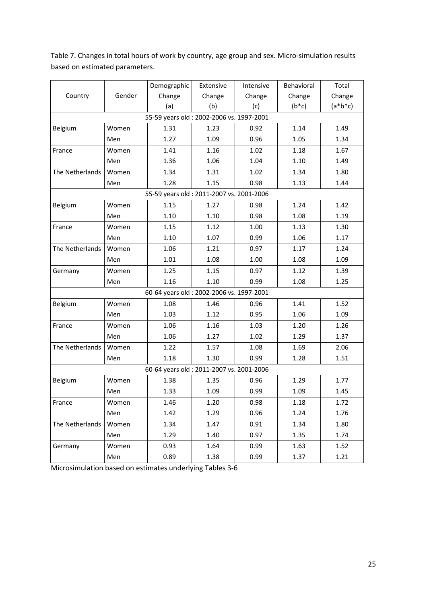|                 |        | Demographic                               | Extensive | Intensive | Behavioral | Total         |
|-----------------|--------|-------------------------------------------|-----------|-----------|------------|---------------|
| Country         | Gender | Change                                    | Change    | Change    | Change     | Change        |
|                 |        | (a)                                       | (b)       | (c)       | $(b * c)$  | $(a * b * c)$ |
|                 |        | 55-59 years old : 2002-2006 vs. 1997-2001 |           |           |            |               |
| Belgium         | Women  | 1.31                                      | 1.23      | 0.92      | 1.14       | 1.49          |
|                 | Men    | 1.27                                      | 1.09      | 0.96      | 1.05       | 1.34          |
| France          | Women  | 1.41                                      | 1.16      | 1.02      | 1.18       | 1.67          |
|                 | Men    | 1.36                                      | 1.06      | 1.04      | 1.10       | 1.49          |
| The Netherlands | Women  | 1.34                                      | 1.31      | 1.02      | 1.34       | 1.80          |
|                 | Men    | 1.28                                      | 1.15      | 0.98      | 1.13       | 1.44          |
|                 |        | 55-59 years old : 2011-2007 vs. 2001-2006 |           |           |            |               |
| Belgium         | Women  | 1.15                                      | 1.27      | 0.98      | 1.24       | 1.42          |
|                 | Men    | 1.10                                      | 1.10      | 0.98      | 1.08       | 1.19          |
| France          | Women  | 1.15                                      | 1.12      | 1.00      | 1.13       | 1.30          |
|                 | Men    | 1.10                                      | 1.07      | 0.99      | 1.06       | 1.17          |
| The Netherlands | Women  | 1.06                                      | 1.21      | 0.97      | 1.17       | 1.24          |
|                 | Men    | 1.01                                      | 1.08      | 1.00      | 1.08       | 1.09          |
| Germany         | Women  | 1.25                                      | 1.15      | 0.97      | 1.12       | 1.39          |
|                 | Men    | 1.16                                      | 1.10      | 0.99      | 1.08       | 1.25          |
|                 |        | 60-64 years old : 2002-2006 vs. 1997-2001 |           |           |            |               |
| Belgium         | Women  | 1.08                                      | 1.46      | 0.96      | 1.41       | 1.52          |
|                 | Men    | 1.03                                      | 1.12      | 0.95      | 1.06       | 1.09          |
| France          | Women  | 1.06                                      | 1.16      | 1.03      | 1.20       | 1.26          |
|                 | Men    | 1.06                                      | 1.27      | 1.02      | 1.29       | 1.37          |
| The Netherlands | Women  | 1.22                                      | 1.57      | 1.08      | 1.69       | 2.06          |
|                 | Men    | 1.18                                      | 1.30      | 0.99      | 1.28       | 1.51          |
|                 |        | 60-64 years old : 2011-2007 vs. 2001-2006 |           |           |            |               |
| Belgium         | Women  | 1.38                                      | 1.35      | 0.96      | 1.29       | 1.77          |
|                 | Men    | 1.33                                      | 1.09      | 0.99      | 1.09       | 1.45          |
| France          | Women  | 1.46                                      | 1.20      | 0.98      | 1.18       | 1.72          |
|                 | Men    | 1.42                                      | 1.29      | 0.96      | 1.24       | 1.76          |
| The Netherlands | Women  | 1.34                                      | 1.47      | 0.91      | 1.34       | 1.80          |
|                 | Men    | 1.29                                      | 1.40      | 0.97      | 1.35       | 1.74          |
| Germany         | Women  | 0.93                                      | 1.64      | 0.99      | 1.63       | 1.52          |
|                 | Men    | 0.89                                      | 1.38      | 0.99      | 1.37       | 1.21          |

Table 7. Changes in total hours of work by country, age group and sex. Micro-simulation results based on estimated parameters.

Microsimulation based on estimates underlying Tables 3‐6